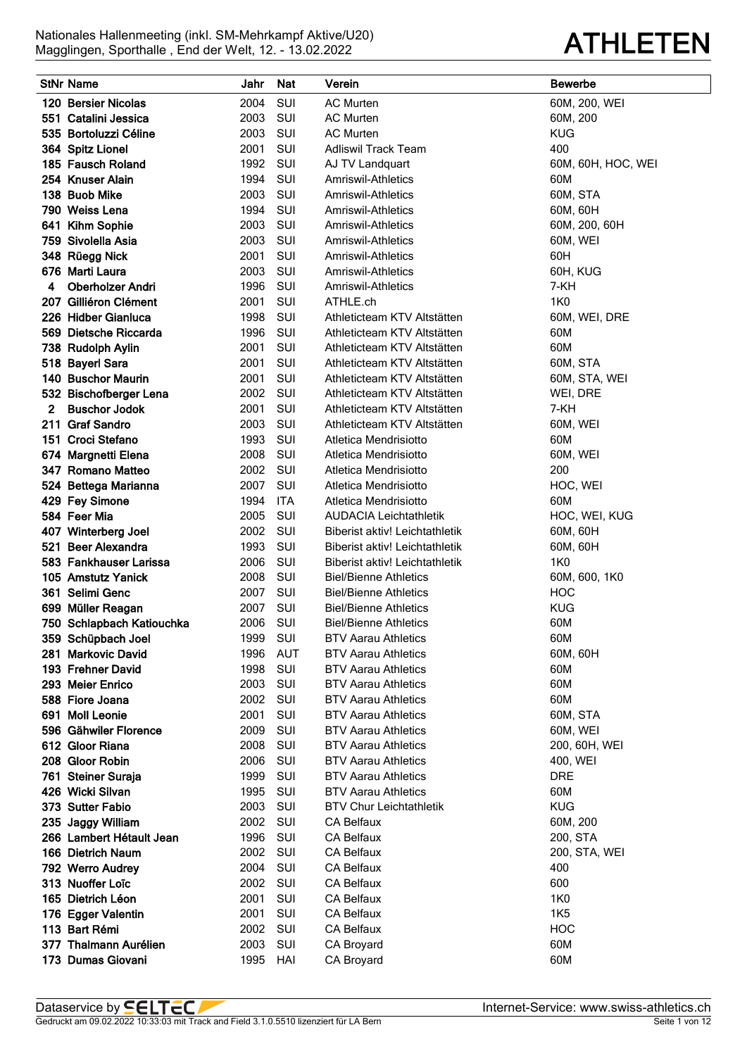|     | <b>StNr Name</b>                         | Jahr         | Nat        | Verein                                                   | <b>Bewerbe</b>         |
|-----|------------------------------------------|--------------|------------|----------------------------------------------------------|------------------------|
|     | 120 Bersier Nicolas                      | 2004         | SUI        | <b>AC Murten</b>                                         | 60M, 200, WEI          |
|     | 551 Catalini Jessica                     | 2003         | SUI        | <b>AC Murten</b>                                         | 60M, 200               |
|     | 535 Bortoluzzi Céline                    | 2003         | SUI        | <b>AC Murten</b>                                         | <b>KUG</b>             |
|     | 364 Spitz Lionel                         | 2001         | SUI        | <b>Adliswil Track Team</b>                               | 400                    |
|     | 185 Fausch Roland                        | 1992         | SUI        | AJ TV Landquart                                          | 60M, 60H, HOC, WEI     |
|     | 254 Knuser Alain                         | 1994         | SUI        | <b>Amriswil-Athletics</b>                                | 60M                    |
|     | 138 Buob Mike                            | 2003         | SUI        | <b>Amriswil-Athletics</b>                                | 60M, STA               |
|     | 790 Weiss Lena                           | 1994         | SUI        | <b>Amriswil-Athletics</b>                                | 60M, 60H               |
| 641 | <b>Kihm Sophie</b>                       | 2003         | SUI        | <b>Amriswil-Athletics</b>                                | 60M, 200, 60H          |
|     | 759 Sivolella Asia                       | 2003         | SUI        | <b>Amriswil-Athletics</b>                                | 60M, WEI               |
|     | 348 Rüegg Nick                           | 2001         | SUI        | <b>Amriswil-Athletics</b>                                | 60H                    |
|     | 676 Marti Laura                          | 2003         | SUI        | Amriswil-Athletics                                       | 60H, KUG               |
| 4   | <b>Oberholzer Andri</b>                  | 1996         | SUI        | Amriswil-Athletics                                       | 7-KH                   |
|     | 207 Gilliéron Clément                    | 2001         | SUI        | ATHLE.ch                                                 | <b>1K0</b>             |
|     | 226 Hidber Gianluca                      | 1998         | SUI        | Athleticteam KTV Altstätten                              | 60M, WEI, DRE          |
|     | 569 Dietsche Riccarda                    | 1996         | SUI        | Athleticteam KTV Altstätten                              | 60M                    |
|     | 738 Rudolph Aylin                        | 2001         | SUI        | Athleticteam KTV Altstätten                              | 60M                    |
|     | 518 Bayerl Sara                          | 2001         | SUI        | Athleticteam KTV Altstätten                              | 60M, STA               |
|     | 140 Buschor Maurin                       | 2001         | SUI        | Athleticteam KTV Altstätten                              | 60M, STA, WEI          |
|     | 532 Bischofberger Lena                   | 2002         | <b>SUI</b> | Athleticteam KTV Altstätten                              | WEI, DRE               |
| 2   | <b>Buschor Jodok</b>                     | 2001         | SUI        | Athleticteam KTV Altstätten                              | 7-KH                   |
| 211 | <b>Graf Sandro</b>                       | 2003         | <b>SUI</b> | Athleticteam KTV Altstätten                              | 60M, WEI               |
|     | 151 Croci Stefano                        | 1993         | <b>SUI</b> | Atletica Mendrisiotto                                    | 60M                    |
|     | 674 Margnetti Elena                      | 2008         | SUI        | Atletica Mendrisiotto                                    | 60M, WEI               |
|     | 347 Romano Matteo                        | 2002         | SUI        | Atletica Mendrisiotto                                    | 200                    |
|     | 524 Bettega Marianna                     | 2007         | SUI        | Atletica Mendrisiotto                                    | HOC, WEI               |
|     | 429 Fey Simone                           | 1994         | <b>ITA</b> | Atletica Mendrisiotto                                    | 60M                    |
|     | 584 Feer Mia                             | 2005         | SUI        | <b>AUDACIA Leichtathletik</b>                            | HOC, WEI, KUG          |
|     | 407 Winterberg Joel                      | 2002         | SUI        | Biberist aktiv! Leichtathletik                           | 60M, 60H               |
| 521 | <b>Beer Alexandra</b>                    | 1993         | SUI        | Biberist aktiv! Leichtathletik                           | 60M, 60H               |
|     | 583 Fankhauser Larissa                   | 2006         | SUI        | Biberist aktiv! Leichtathletik                           | 1K0                    |
|     | 105 Amstutz Yanick                       | 2008         | SUI        | <b>Biel/Bienne Athletics</b>                             | 60M, 600, 1K0          |
|     | 361 Selimi Genc                          | 2007         | SUI        | <b>Biel/Bienne Athletics</b>                             | HOC                    |
|     | 699 Müller Reagan                        | 2007         | SUI        | <b>Biel/Bienne Athletics</b>                             | <b>KUG</b>             |
|     | 750 Schlapbach Katiouchka                | 2006         | SUI        | <b>Biel/Bienne Athletics</b>                             | 60M                    |
|     | 359 Schüpbach Joel                       | 1999         | SUI        | <b>BTV Aarau Athletics</b>                               | 60M                    |
|     | 281 Markovic David                       | 1996         | AUT        | <b>BTV Aarau Athletics</b>                               | 60M, 60H               |
|     | 193 Frehner David                        | 1998         | SUI        | <b>BTV Aarau Athletics</b>                               | 60M                    |
|     | 293 Meier Enrico                         | 2003         | SUI        | <b>BTV Aarau Athletics</b>                               | 60M                    |
|     | 588 Fiore Joana                          | 2002         | SUI        | <b>BTV Aarau Athletics</b>                               | 60M                    |
|     | 691 Moll Leonie                          | 2001         | SUI        | <b>BTV Aarau Athletics</b>                               | 60M, STA               |
|     | 596 Gähwiler Florence<br>612 Gloor Riana | 2009         | SUI        | <b>BTV Aarau Athletics</b>                               | 60M, WEI               |
|     | 208 Gloor Robin                          | 2008         | SUI<br>SUI | <b>BTV Aarau Athletics</b>                               | 200, 60H, WEI          |
|     | 761 Steiner Suraja                       | 2006<br>1999 | SUI        | <b>BTV Aarau Athletics</b><br><b>BTV Aarau Athletics</b> | 400, WEI<br><b>DRE</b> |
|     | 426 Wicki Silvan                         | 1995         | SUI        | <b>BTV Aarau Athletics</b>                               | 60M                    |
|     | 373 Sutter Fabio                         | 2003         | SUI        | <b>BTV Chur Leichtathletik</b>                           | <b>KUG</b>             |
|     | 235 Jaggy William                        | 2002         | SUI        | <b>CA Belfaux</b>                                        | 60M, 200               |
|     | 266 Lambert Hétault Jean                 | 1996         | SUI        | <b>CA Belfaux</b>                                        | 200, STA               |
|     | 166 Dietrich Naum                        | 2002         | SUI        | CA Belfaux                                               | 200, STA, WEI          |
|     | 792 Werro Audrey                         | 2004         | SUI        | CA Belfaux                                               | 400                    |
|     | 313 Nuoffer Loïc                         | 2002         | SUI        | CA Belfaux                                               | 600                    |
|     | 165 Dietrich Léon                        | 2001         | SUI        | CA Belfaux                                               | 1K0                    |
|     | 176 Egger Valentin                       | 2001         | SUI        | CA Belfaux                                               | <b>1K5</b>             |
|     | 113 Bart Rémi                            | 2002         | SUI        | CA Belfaux                                               | <b>HOC</b>             |
|     | 377 Thalmann Aurélien                    | 2003         | SUI        | CA Broyard                                               | 60M                    |
|     | 173 Dumas Giovani                        | 1995         | HAI        | CA Broyard                                               | 60M                    |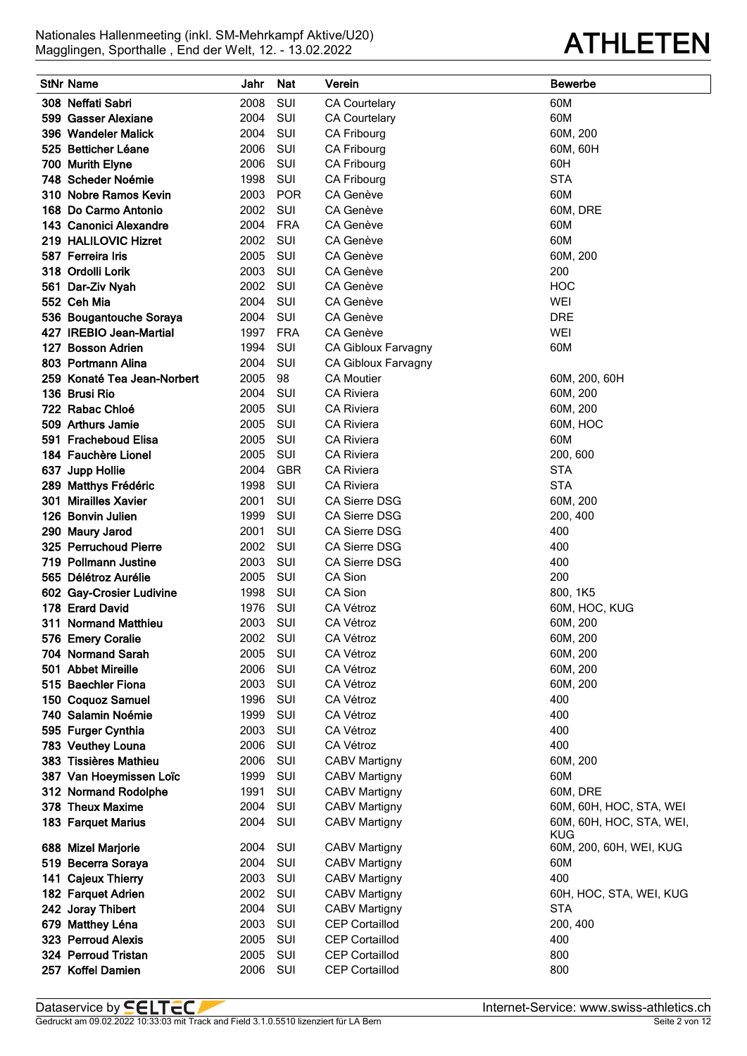| <b>StNr Name</b>            | Jahr | <b>Nat</b> | Verein                | <b>Bewerbe</b>                  |
|-----------------------------|------|------------|-----------------------|---------------------------------|
| 308 Neffati Sabri           | 2008 | SUI        | <b>CA Courtelary</b>  | 60M                             |
| 599 Gasser Alexiane         | 2004 | SUI        | <b>CA Courtelary</b>  | 60M                             |
| 396 Wandeler Malick         | 2004 | SUI        | CA Fribourg           | 60M, 200                        |
| 525 Betticher Léane         | 2006 | SUI        | CA Fribourg           | 60M, 60H                        |
| 700 Murith Elyne            | 2006 | SUI        | CA Fribourg           | 60H                             |
| 748 Scheder Noémie          | 1998 | SUI        | CA Fribourg           | <b>STA</b>                      |
| 310 Nobre Ramos Kevin       | 2003 | <b>POR</b> | CA Genève             | 60M                             |
| 168 Do Carmo Antonio        | 2002 | SUI        | <b>CA Genève</b>      | 60M, DRE                        |
| 143 Canonici Alexandre      | 2004 | <b>FRA</b> | <b>CA Genève</b>      | 60M                             |
| 219 HALILOVIC Hizret        | 2002 | SUI        | <b>CA Genève</b>      | 60M                             |
| 587 Ferreira Iris           | 2005 | SUI        | <b>CA Genève</b>      | 60M, 200                        |
| 318 Ordolli Lorik           | 2003 | SUI        | CA Genève             | 200                             |
| 561 Dar-Ziv Nyah            | 2002 | SUI        | <b>CA Genève</b>      | <b>HOC</b>                      |
| 552 Ceh Mia                 | 2004 | SUI        | <b>CA Genève</b>      | WEI                             |
| 536 Bougantouche Soraya     | 2004 | SUI        | <b>CA Genève</b>      | <b>DRE</b>                      |
| 427 IREBIO Jean-Martial     | 1997 | <b>FRA</b> | CA Genève             | <b>WEI</b>                      |
| 127 Bosson Adrien           | 1994 | SUI        | CA Gibloux Farvagny   | 60M                             |
| 803 Portmann Alina          | 2004 | SUI        | CA Gibloux Farvagny   |                                 |
| 259 Konaté Tea Jean-Norbert | 2005 | 98         | <b>CA Moutier</b>     | 60M, 200, 60H                   |
| 136 Brusi Rio               | 2004 | SUI        | <b>CA Riviera</b>     | 60M, 200                        |
| 722 Rabac Chloé             | 2005 | SUI        | <b>CA Riviera</b>     | 60M, 200                        |
| 509 Arthurs Jamie           | 2005 | SUI        | <b>CA Riviera</b>     | 60M, HOC                        |
| 591 Fracheboud Elisa        | 2005 | SUI        | <b>CA Riviera</b>     | 60M                             |
| 184 Fauchère Lionel         | 2005 | SUI        | <b>CA Riviera</b>     | 200, 600                        |
| 637 Jupp Hollie             | 2004 | <b>GBR</b> | <b>CA Riviera</b>     | <b>STA</b>                      |
| 289 Matthys Frédéric        | 1998 | SUI        | <b>CA Riviera</b>     | <b>STA</b>                      |
| 301 Mirailles Xavier        | 2001 | SUI        | <b>CA Sierre DSG</b>  | 60M, 200                        |
| 126 Bonvin Julien           | 1999 | SUI        | <b>CA Sierre DSG</b>  | 200, 400                        |
| 290 Maury Jarod             | 2001 | SUI        | <b>CA Sierre DSG</b>  | 400                             |
| 325 Perruchoud Pierre       | 2002 | SUI        | <b>CA Sierre DSG</b>  | 400                             |
| <b>719 Pollmann Justine</b> | 2003 | SUI        | <b>CA Sierre DSG</b>  | 400                             |
| 565 Délétroz Aurélie        | 2005 | SUI        | CA Sion               | 200                             |
| 602 Gay-Crosier Ludivine    | 1998 | SUI        | CA Sion               | 800, 1K5                        |
| 178 Erard David             | 1976 | SUI        | CA Vétroz             | 60M, HOC, KUG                   |
| 311 Normand Matthieu        | 2003 | SUI        | CA Vétroz             | 60M, 200                        |
| 576 Emery Coralie           | 2002 | SUI        | CA Vétroz             | 60M, 200                        |
| 704 Normand Sarah           | 2005 | SUI        | CA Vétroz             | 60M, 200                        |
| 501 Abbet Mireille          | 2006 | SUI        | CA Vétroz             | 60M, 200                        |
| 515 Baechler Fiona          | 2003 | SUI        | CA Vétroz             | 60M, 200                        |
| 150 Coquoz Samuel           | 1996 | SUI        | CA Vétroz             | 400                             |
| 740 Salamin Noémie          | 1999 | SUI        | CA Vétroz             | 400                             |
| 595 Furger Cynthia          | 2003 | SUI        | CA Vétroz             | 400                             |
| 783 Veuthey Louna           | 2006 | SUI        | CA Vétroz             | 400                             |
| 383 Tissières Mathieu       | 2006 | SUI        | <b>CABV Martigny</b>  | 60M, 200                        |
| 387 Van Hoeymissen Loïc     | 1999 | SUI        | <b>CABV Martigny</b>  | 60M                             |
| 312 Normand Rodolphe        | 1991 | SUI        | <b>CABV Martigny</b>  | 60M, DRE                        |
| 378 Theux Maxime            | 2004 | SUI        | <b>CABV Martigny</b>  | 60M, 60H, HOC, STA, WEI         |
| <b>183 Farquet Marius</b>   | 2004 | SUI        | <b>CABV Martigny</b>  | 60M, 60H, HOC, STA, WEI,<br>KUG |
| 688 Mizel Marjorie          | 2004 | SUI        | <b>CABV Martigny</b>  | 60M, 200, 60H, WEI, KUG         |
| 519 Becerra Soraya          | 2004 | SUI        | <b>CABV Martigny</b>  | 60M                             |
| 141 Cajeux Thierry          | 2003 | SUI        | <b>CABV Martigny</b>  | 400                             |
| 182 Farquet Adrien          | 2002 | SUI        | <b>CABV Martigny</b>  | 60H, HOC, STA, WEI, KUG         |
| 242 Joray Thibert           | 2004 | SUI        | <b>CABV Martigny</b>  | <b>STA</b>                      |
| 679 Matthey Léna            | 2003 | SUI        | <b>CEP Cortaillod</b> | 200, 400                        |
| 323 Perroud Alexis          | 2005 | SUI        | <b>CEP Cortaillod</b> | 400                             |
| 324 Perroud Tristan         | 2005 | SUI        | <b>CEP Cortaillod</b> | 800                             |
| 257 Koffel Damien           | 2006 | SUI        | <b>CEP Cortaillod</b> | 800                             |
|                             |      |            |                       |                                 |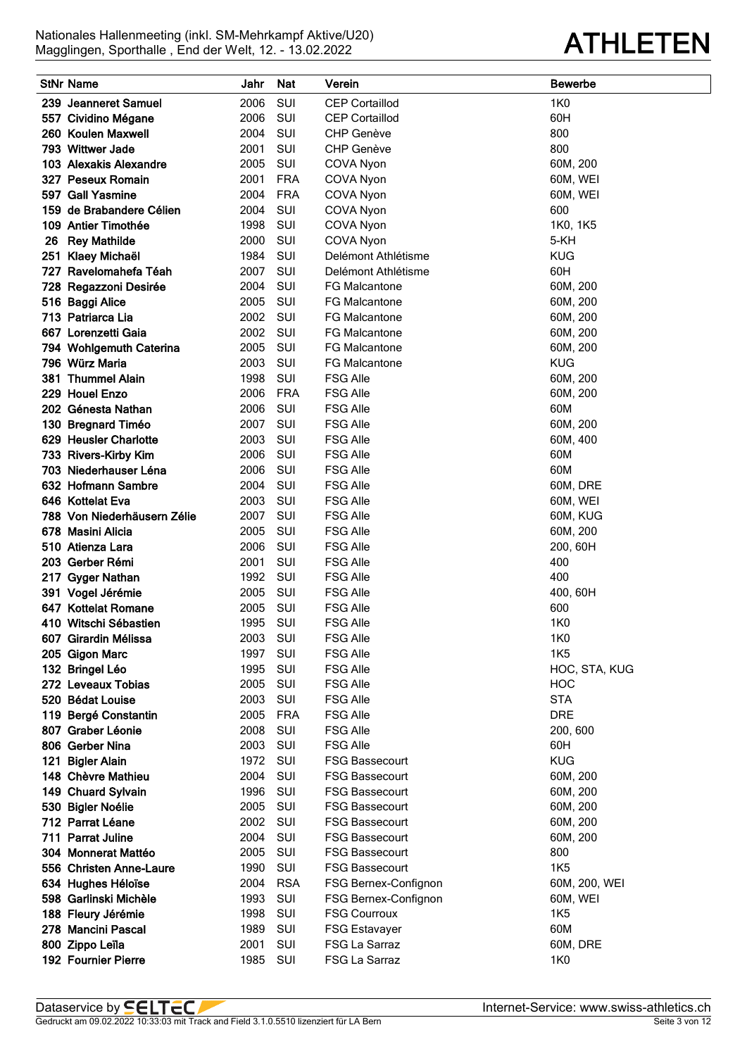|     | <b>StNr Name</b>                         | Jahr         | Nat                      | Verein                                       | <b>Bewerbe</b>       |
|-----|------------------------------------------|--------------|--------------------------|----------------------------------------------|----------------------|
|     | 239 Jeanneret Samuel                     | 2006         | <b>SUI</b>               | <b>CEP Cortaillod</b>                        | 1K <sub>0</sub>      |
|     | 557 Cividino Mégane                      | 2006         | SUI                      | <b>CEP Cortaillod</b>                        | 60H                  |
|     | 260 Koulen Maxwell                       | 2004         | <b>SUI</b>               | <b>CHP Genève</b>                            | 800                  |
|     | 793 Wittwer Jade                         | 2001         | <b>SUI</b>               | <b>CHP Genève</b>                            | 800                  |
|     | 103 Alexakis Alexandre                   | 2005         | SUI                      | COVA Nyon                                    | 60M, 200             |
|     | 327 Peseux Romain                        | 2001         | <b>FRA</b>               | COVA Nyon                                    | 60M, WEI             |
|     | 597 Gall Yasmine                         | 2004         | <b>FRA</b>               | COVA Nyon                                    | 60M, WEI             |
|     | 159 de Brabandere Célien                 | 2004         | SUI                      | COVA Nyon                                    | 600                  |
|     | 109 Antier Timothée                      | 1998         | SUI                      | COVA Nyon                                    | 1K0, 1K5             |
| 26  | <b>Rey Mathilde</b>                      | 2000         | <b>SUI</b>               | COVA Nyon                                    | 5-KH                 |
|     | 251 Klaey Michaël                        | 1984         | <b>SUI</b>               | Delémont Athlétisme                          | <b>KUG</b>           |
|     | 727 Ravelomahefa Téah                    | 2007         | <b>SUI</b>               | Delémont Athlétisme                          | 60H                  |
|     | 728 Regazzoni Desirée                    | 2004         | <b>SUI</b>               | <b>FG Malcantone</b>                         | 60M, 200             |
|     | 516 Baggi Alice                          | 2005         | <b>SUI</b>               | <b>FG Malcantone</b>                         | 60M, 200             |
|     | 713 Patriarca Lia<br>667 Lorenzetti Gaia | 2002<br>2002 | <b>SUI</b><br><b>SUI</b> | <b>FG Malcantone</b><br><b>FG Malcantone</b> | 60M, 200<br>60M, 200 |
|     | 794 Wohlgemuth Caterina                  | 2005         | SUI                      | <b>FG Malcantone</b>                         | 60M, 200             |
|     | 796 Würz Maria                           | 2003         | SUI                      | <b>FG Malcantone</b>                         | <b>KUG</b>           |
| 381 | <b>Thummel Alain</b>                     | 1998         | SUI                      | <b>FSG Alle</b>                              | 60M, 200             |
|     | 229 Houel Enzo                           | 2006         | <b>FRA</b>               | <b>FSG Alle</b>                              | 60M, 200             |
|     | 202 Génesta Nathan                       | 2006         | <b>SUI</b>               | <b>FSG Alle</b>                              | 60M                  |
|     | 130 Bregnard Timéo                       | 2007         | SUI                      | <b>FSG Alle</b>                              | 60M, 200             |
|     | 629 Heusler Charlotte                    | 2003         | SUI                      | <b>FSG Alle</b>                              | 60M, 400             |
|     | 733 Rivers-Kirby Kim                     | 2006         | SUI                      | <b>FSG Alle</b>                              | 60M                  |
|     | 703 Niederhauser Léna                    | 2006         | <b>SUI</b>               | <b>FSG Alle</b>                              | 60M                  |
|     | 632 Hofmann Sambre                       | 2004         | SUI                      | <b>FSG Alle</b>                              | 60M, DRE             |
|     | 646 Kottelat Eva                         | 2003         | SUI                      | <b>FSG Alle</b>                              | 60M, WEI             |
|     | 788 Von Niederhäusern Zélie              | 2007         | SUI                      | <b>FSG Alle</b>                              | 60M, KUG             |
|     | 678 Masini Alicia                        | 2005         | SUI                      | <b>FSG Alle</b>                              | 60M, 200             |
|     | 510 Atienza Lara                         | 2006         | SUI                      | <b>FSG Alle</b>                              | 200, 60H             |
|     | 203 Gerber Rémi                          | 2001         | <b>SUI</b>               | <b>FSG Alle</b>                              | 400                  |
|     | 217 Gyger Nathan                         | 1992         | SUI                      | <b>FSG Alle</b>                              | 400                  |
|     | 391 Vogel Jérémie                        | 2005         | SUI                      | <b>FSG Alle</b>                              | 400, 60H             |
|     | 647 Kottelat Romane                      | 2005         | <b>SUI</b>               | <b>FSG Alle</b>                              | 600                  |
|     | 410 Witschi Sébastien                    | 1995         | SUI                      | <b>FSG Alle</b>                              | 1K0                  |
|     | 607 Girardin Mélissa                     | 2003         | SUI                      | <b>FSG Alle</b>                              | <b>1K0</b>           |
|     | 205 Gigon Marc<br>132 Bringel Léo        | 1997<br>1995 | SUI<br>SUI               | <b>FSG Alle</b><br><b>FSG Alle</b>           | 1K5                  |
|     | 272 Leveaux Tobias                       | 2005         | SUI                      | <b>FSG Alle</b>                              | HOC, STA, KUG<br>HOC |
|     | 520 Bédat Louise                         | 2003         | SUI                      | <b>FSG Alle</b>                              | <b>STA</b>           |
|     | 119 Bergé Constantin                     | 2005         | <b>FRA</b>               | <b>FSG Alle</b>                              | <b>DRE</b>           |
|     | 807 Graber Léonie                        | 2008         | SUI                      | <b>FSG Alle</b>                              | 200, 600             |
|     | 806 Gerber Nina                          | 2003         | SUI                      | <b>FSG Alle</b>                              | 60H                  |
| 121 | <b>Bigler Alain</b>                      | 1972         | SUI                      | <b>FSG Bassecourt</b>                        | <b>KUG</b>           |
|     | 148 Chèvre Mathieu                       | 2004         | SUI                      | FSG Bassecourt                               | 60M, 200             |
|     | 149 Chuard Sylvain                       | 1996         | SUI                      | <b>FSG Bassecourt</b>                        | 60M, 200             |
|     | 530 Bigler Noélie                        | 2005         | SUI                      | <b>FSG Bassecourt</b>                        | 60M, 200             |
|     | 712 Parrat Léane                         | 2002         | SUI                      | <b>FSG Bassecourt</b>                        | 60M, 200             |
|     | 711 Parrat Juline                        | 2004         | SUI                      | <b>FSG Bassecourt</b>                        | 60M, 200             |
|     | 304 Monnerat Mattéo                      | 2005         | SUI                      | <b>FSG Bassecourt</b>                        | 800                  |
|     | 556 Christen Anne-Laure                  | 1990         | SUI                      | <b>FSG Bassecourt</b>                        | 1K5                  |
|     | 634 Hughes Héloïse                       | 2004         | <b>RSA</b>               | FSG Bernex-Confignon                         | 60M, 200, WEI        |
|     | 598 Garlinski Michèle                    | 1993         | SUI                      | FSG Bernex-Confignon                         | 60M, WEI             |
|     | 188 Fleury Jérémie                       | 1998         | SUI                      | <b>FSG Courroux</b>                          | 1K5                  |
|     | 278 Mancini Pascal                       | 1989         | SUI                      | <b>FSG Estavayer</b>                         | 60M                  |
|     | 800 Zippo Leïla<br>192 Fournier Pierre   | 2001<br>1985 | SUI                      | FSG La Sarraz<br>FSG La Sarraz               | 60M, DRE             |
|     |                                          |              | SUI                      |                                              | 1K0                  |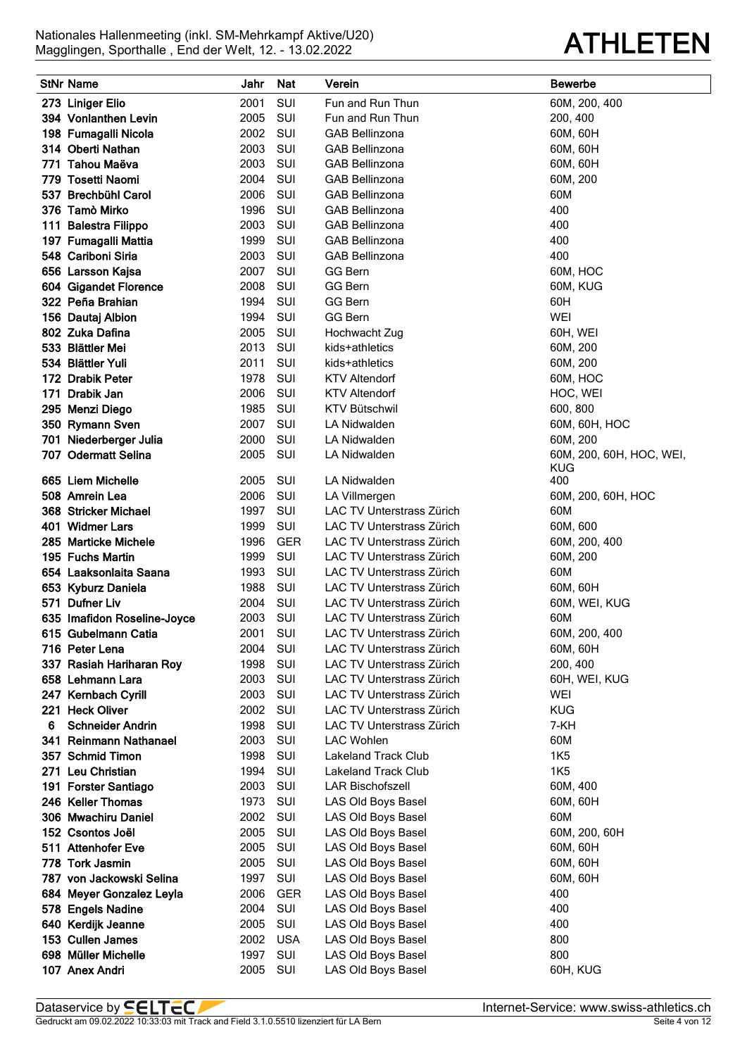|   | <b>StNr Name</b>                          | Jahr         | Nat        | Verein                                                | <b>Bewerbe</b>                         |
|---|-------------------------------------------|--------------|------------|-------------------------------------------------------|----------------------------------------|
|   | 273 Liniger Elio                          | 2001         | SUI        | Fun and Run Thun                                      | 60M, 200, 400                          |
|   | 394 Vonlanthen Levin                      | 2005         | SUI        | Fun and Run Thun                                      | 200, 400                               |
|   | 198 Fumagalli Nicola                      | 2002         | SUI        | <b>GAB Bellinzona</b>                                 | 60M, 60H                               |
|   | 314 Oberti Nathan                         | 2003         | SUI        | <b>GAB Bellinzona</b>                                 | 60M, 60H                               |
|   | 771 Tahou Maëva                           | 2003         | SUI        | <b>GAB Bellinzona</b>                                 | 60M, 60H                               |
|   | 779 Tosetti Naomi                         | 2004         | SUI        | <b>GAB Bellinzona</b>                                 | 60M, 200                               |
|   | 537 Brechbühl Carol                       | 2006         | SUI        | GAB Bellinzona                                        | 60M                                    |
|   | 376 Tamò Mirko                            | 1996         | SUI        | <b>GAB Bellinzona</b>                                 | 400                                    |
|   | 111 Balestra Filippo                      | 2003         | SUI        | <b>GAB Bellinzona</b>                                 | 400                                    |
|   | 197 Fumagalli Mattia                      | 1999         | SUI        | <b>GAB Bellinzona</b>                                 | 400                                    |
|   | 548 Cariboni Siria                        | 2003         | SUI        | <b>GAB Bellinzona</b>                                 | 400                                    |
|   | 656 Larsson Kajsa                         | 2007         | SUI        | <b>GG Bern</b>                                        | 60M, HOC                               |
|   | 604 Gigandet Florence                     | 2008         | SUI        | <b>GG Bern</b>                                        | 60M, KUG                               |
|   | 322 Peña Brahian                          | 1994         | SUI        | <b>GG Bern</b>                                        | 60H                                    |
|   | 156 Dautaj Albion                         | 1994         | SUI        | <b>GG Bern</b>                                        | WEI                                    |
|   | 802 Zuka Dafina                           | 2005         | SUI        | Hochwacht Zug                                         | 60H, WEI                               |
|   | 533 Blättler Mei                          | 2013         | SUI        | kids+athletics                                        | 60M, 200                               |
|   | 534 Blättler Yuli                         | 2011         | SUI        | kids+athletics                                        | 60M, 200                               |
|   | 172 Drabik Peter                          | 1978         | SUI        | <b>KTV Altendorf</b>                                  | 60M, HOC                               |
|   | 171 Drabik Jan                            | 2006         | SUI        | <b>KTV Altendorf</b>                                  | HOC, WEI                               |
|   | 295 Menzi Diego                           | 1985         | SUI        | <b>KTV Bütschwil</b>                                  | 600, 800                               |
|   | 350 Rymann Sven                           | 2007         | SUI        | LA Nidwalden                                          | 60M, 60H, HOC                          |
|   | 701 Niederberger Julia                    | 2000         | SUI        | LA Nidwalden                                          | 60M, 200                               |
|   | 707 Odermatt Selina                       | 2005         | SUI        | LA Nidwalden                                          | 60M, 200, 60H, HOC, WEI,<br><b>KUG</b> |
|   | 665 Liem Michelle                         | 2005         | SUI        | LA Nidwalden                                          | 400                                    |
|   | 508 Amrein Lea                            | 2006         | SUI        | LA Villmergen                                         | 60M, 200, 60H, HOC                     |
|   | 368 Stricker Michael                      | 1997         | SUI        | <b>LAC TV Unterstrass Zürich</b>                      | 60M                                    |
|   | 401 Widmer Lars                           | 1999         | SUI        | LAC TV Unterstrass Zürich                             | 60M, 600                               |
|   | 285 Marticke Michele                      | 1996         | <b>GER</b> | <b>LAC TV Unterstrass Zürich</b>                      | 60M, 200, 400                          |
|   | 195 Fuchs Martin                          | 1999         | SUI        | <b>LAC TV Unterstrass Zürich</b>                      | 60M, 200                               |
|   | 654 Laaksonlaita Saana                    | 1993         | SUI        | <b>LAC TV Unterstrass Zürich</b>                      | 60M                                    |
|   | 653 Kyburz Daniela                        | 1988         | SUI        | <b>LAC TV Unterstrass Zürich</b>                      | 60M, 60H                               |
|   | 571 Dufner Liv                            | 2004         | SUI        | <b>LAC TV Unterstrass Zürich</b>                      | 60M, WEI, KUG                          |
|   | 635 Imafidon Roseline-Joyce               | 2003         | SUI        | <b>LAC TV Unterstrass Zürich</b>                      | 60M                                    |
|   | 615 Gubelmann Catia                       | 2001         | SUI        | LAC TV Unterstrass Zürich                             | 60M, 200, 400                          |
|   | 716 Peter Lena                            | 2004         | SUI        | LAC TV Unterstrass Zürich                             | 60M, 60H                               |
|   | 337 Rasiah Hariharan Roy                  | 1998         | SUI        | LAC TV Unterstrass Zürich                             | 200, 400                               |
|   | 658 Lehmann Lara                          | 2003         | SUI        | LAC TV Unterstrass Zürich                             | 60H, WEI, KUG                          |
|   | 247 Kernbach Cyrill                       | 2003         | SUI        | LAC TV Unterstrass Zürich                             | WEI                                    |
|   | 221 Heck Oliver                           | 2002         | SUI        | LAC TV Unterstrass Zürich                             | <b>KUG</b>                             |
| 6 | <b>Schneider Andrin</b>                   | 1998         | SUI        | LAC TV Unterstrass Zürich                             | 7-KH                                   |
|   | 341 Reinmann Nathanael                    | 2003         | SUI        | <b>LAC Wohlen</b>                                     | 60M                                    |
|   | 357 Schmid Timon                          | 1998         | SUI        | Lakeland Track Club                                   | <b>1K5</b>                             |
|   | 271 Leu Christian<br>191 Forster Santiago | 1994<br>2003 | SUI<br>SUI | <b>Lakeland Track Club</b><br><b>LAR Bischofszell</b> | <b>1K5</b><br>60M, 400                 |
|   | 246 Keller Thomas                         | 1973         | SUI        | LAS Old Boys Basel                                    | 60M, 60H                               |
|   | 306 Mwachiru Daniel                       | 2002         | SUI        | LAS Old Boys Basel                                    | 60M                                    |
|   | 152 Csontos Joël                          | 2005         | SUI        | LAS Old Boys Basel                                    | 60M, 200, 60H                          |
|   | 511 Attenhofer Eve                        | 2005         | SUI        | LAS Old Boys Basel                                    | 60M, 60H                               |
|   | 778 Tork Jasmin                           | 2005         | SUI        | LAS Old Boys Basel                                    | 60M, 60H                               |
|   | 787 von Jackowski Selina                  | 1997         | SUI        | LAS Old Boys Basel                                    | 60M, 60H                               |
|   | 684 Meyer Gonzalez Leyla                  | 2006         | GER        | LAS Old Boys Basel                                    | 400                                    |
|   | 578 Engels Nadine                         | 2004         | SUI        | LAS Old Boys Basel                                    | 400                                    |
|   | 640 Kerdijk Jeanne                        | 2005         | SUI        | LAS Old Boys Basel                                    | 400                                    |
|   | 153 Cullen James                          | 2002         | <b>USA</b> | LAS Old Boys Basel                                    | 800                                    |
|   | 698 Müller Michelle                       | 1997         | SUI        | LAS Old Boys Basel                                    | 800                                    |
|   | 107 Anex Andri                            | 2005         | SUI        | LAS Old Boys Basel                                    | 60H, KUG                               |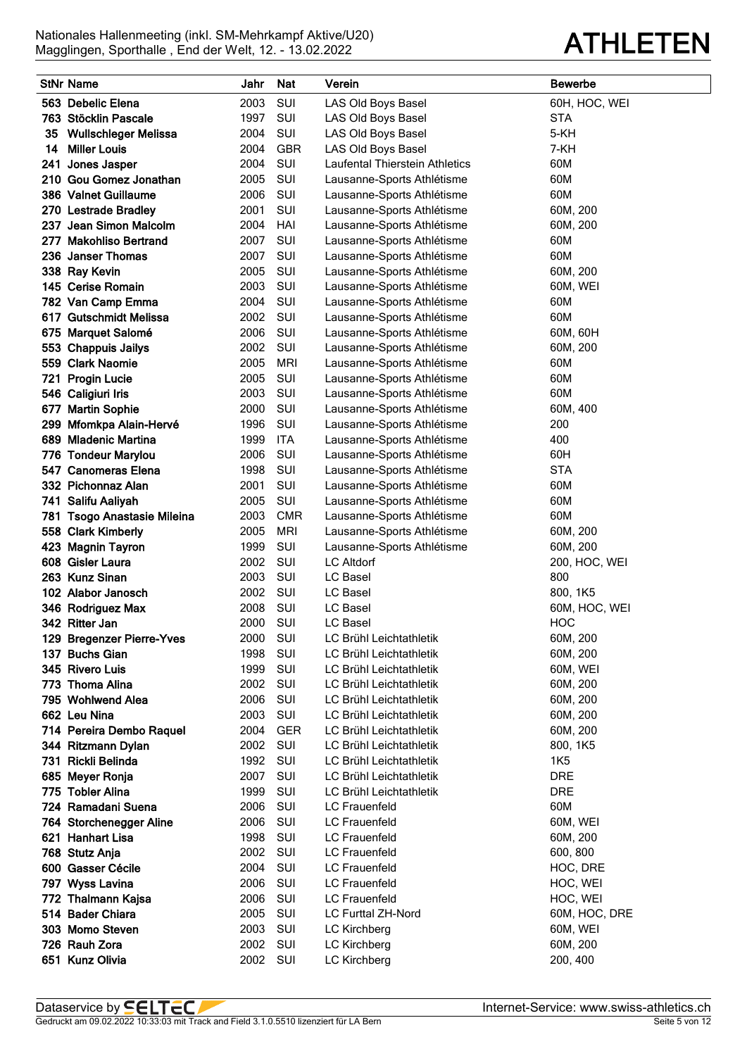|     | <b>StNr Name</b>                            | Jahr         | <b>Nat</b>        | Verein                                | <b>Bewerbe</b>       |
|-----|---------------------------------------------|--------------|-------------------|---------------------------------------|----------------------|
|     | 563 Debelic Elena                           | 2003         | SUI               | LAS Old Boys Basel                    | 60H, HOC, WEI        |
|     | 763 Stöcklin Pascale                        | 1997         | SUI               | LAS Old Boys Basel                    | <b>STA</b>           |
| 35  | <b>Wullschleger Melissa</b>                 | 2004         | SUI               | LAS Old Boys Basel                    | 5-KH                 |
| 14  | <b>Miller Louis</b>                         | 2004         | <b>GBR</b>        | LAS Old Boys Basel                    | 7-KH                 |
| 241 | Jones Jasper                                | 2004         | <b>SUI</b>        | <b>Laufental Thierstein Athletics</b> | 60M                  |
|     | 210 Gou Gomez Jonathan                      | 2005         | SUI               | Lausanne-Sports Athlétisme            | 60M                  |
|     | 386 Valnet Guillaume                        | 2006         | <b>SUI</b>        | Lausanne-Sports Athlétisme            | 60M                  |
|     | 270 Lestrade Bradley                        | 2001         | SUI               | Lausanne-Sports Athlétisme            | 60M, 200             |
|     | 237 Jean Simon Malcolm                      | 2004         | HAI               | Lausanne-Sports Athlétisme            | 60M, 200             |
| 277 | <b>Makohliso Bertrand</b>                   | 2007         | <b>SUI</b>        | Lausanne-Sports Athlétisme            | 60M                  |
|     | 236 Janser Thomas                           | 2007         | SUI               | Lausanne-Sports Athlétisme            | 60M                  |
|     | 338 Ray Kevin                               | 2005         | SUI               | Lausanne-Sports Athlétisme            | 60M, 200             |
|     | 145 Cerise Romain                           | 2003         | SUI               | Lausanne-Sports Athlétisme            | 60M, WEI             |
|     | 782 Van Camp Emma                           | 2004         | SUI               | Lausanne-Sports Athlétisme            | 60M                  |
|     | 617 Gutschmidt Melissa                      | 2002         | SUI               | Lausanne-Sports Athlétisme            | 60M                  |
|     | 675 Marquet Salomé                          | 2006         | SUI               | Lausanne-Sports Athlétisme            | 60M, 60H             |
|     | 553 Chappuis Jailys                         | 2002         | SUI               | Lausanne-Sports Athlétisme            | 60M, 200             |
|     | 559 Clark Naomie                            | 2005         | <b>MRI</b>        | Lausanne-Sports Athlétisme            | 60M                  |
|     | 721 Progin Lucie                            | 2005         | SUI               | Lausanne-Sports Athlétisme            | 60M                  |
|     | 546 Caligiuri Iris                          | 2003         | <b>SUI</b>        | Lausanne-Sports Athlétisme            | 60M                  |
|     | 677 Martin Sophie                           | 2000         | SUI               | Lausanne-Sports Athlétisme            | 60M, 400             |
| 299 | Mfomkpa Alain-Hervé                         | 1996         | SUI               | Lausanne-Sports Athlétisme            | 200                  |
|     | 689 Mladenic Martina                        | 1999         | <b>ITA</b>        | Lausanne-Sports Athlétisme            | 400                  |
|     | 776 Tondeur Marylou                         | 2006         | SUI               | Lausanne-Sports Athlétisme            | 60H                  |
|     | 547 Canomeras Elena                         | 1998         | SUI               | Lausanne-Sports Athlétisme            | <b>STA</b>           |
|     | 332 Pichonnaz Alan                          | 2001         | SUI               | Lausanne-Sports Athlétisme            | 60M                  |
|     | 741 Salifu Aaliyah                          | 2005         | SUI               | Lausanne-Sports Athlétisme            | 60M                  |
|     | 781 Tsogo Anastasie Mileina                 | 2003         | <b>CMR</b>        | Lausanne-Sports Athlétisme            | 60M                  |
|     | 558 Clark Kimberly                          | 2005         | <b>MRI</b>        | Lausanne-Sports Athlétisme            | 60M, 200             |
|     | 423 Magnin Tayron                           | 1999         | SUI               | Lausanne-Sports Athlétisme            | 60M, 200             |
|     | 608 Gisler Laura                            | 2002         | SUI               | <b>LC Altdorf</b>                     | 200, HOC, WEI        |
|     | 263 Kunz Sinan                              | 2003         | SUI               | LC Basel                              | 800                  |
|     | 102 Alabor Janosch                          | 2002         | SUI               | LC Basel                              | 800, 1K5             |
|     | 346 Rodriguez Max                           | 2008         | SUI               | LC Basel                              | 60M, HOC, WEI        |
|     | 342 Ritter Jan                              | 2000         | <b>SUI</b>        | <b>LC Basel</b>                       | <b>HOC</b>           |
|     | 129 Bregenzer Pierre-Yves                   | 2000         | SUI               | LC Brühl Leichtathletik               | 60M, 200             |
|     | 137 Buchs Gian                              | 1998         | <b>SUI</b>        | LC Brühl Leichtathletik               | 60M, 200             |
|     | 345 Rivero Luis                             | 1999         | SUI               | LC Brühl Leichtathletik               | 60M, WEI             |
|     | 773 Thoma Alina                             | 2002         | SUI               | LC Brühl Leichtathletik               | 60M, 200             |
|     | 795 Wohlwend Alea                           | 2006         | SUI               | LC Brühl Leichtathletik               | 60M, 200             |
|     | 662 Leu Nina                                | 2003         | SUI               | LC Brühl Leichtathletik               | 60M, 200             |
|     | 714 Pereira Dembo Raquel                    | 2004         | <b>GER</b>        | LC Brühl Leichtathletik               | 60M, 200             |
|     | 344 Ritzmann Dylan                          | 2002         | SUI               | LC Brühl Leichtathletik               | 800, 1K5             |
|     | 731 Rickli Belinda                          | 1992         | SUI               | LC Brühl Leichtathletik               | 1K <sub>5</sub>      |
|     | 685 Meyer Ronja                             | 2007         | SUI               | LC Brühl Leichtathletik               | <b>DRE</b>           |
|     | 775 Tobler Alina                            | 1999         | SUI               | LC Brühl Leichtathletik               | <b>DRE</b>           |
|     | 724 Ramadani Suena                          | 2006         | <b>SUI</b>        | LC Frauenfeld                         | 60M                  |
|     | 764 Storchenegger Aline<br>621 Hanhart Lisa | 2006<br>1998 | SUI<br><b>SUI</b> | LC Frauenfeld<br>LC Frauenfeld        | 60M, WEI             |
|     | 768 Stutz Anja                              | 2002         | <b>SUI</b>        | LC Frauenfeld                         | 60M, 200<br>600, 800 |
|     | 600 Gasser Cécile                           | 2004         | <b>SUI</b>        | LC Frauenfeld                         |                      |
|     | 797 Wyss Lavina                             | 2006         | SUI               | LC Frauenfeld                         | HOC, DRE<br>HOC, WEI |
|     | 772 Thalmann Kajsa                          | 2006         | <b>SUI</b>        | LC Frauenfeld                         | HOC, WEI             |
|     | 514 Bader Chiara                            | 2005         | SUI               | LC Furttal ZH-Nord                    | 60M, HOC, DRE        |
|     | 303 Momo Steven                             | 2003         | SUI               | <b>LC Kirchberg</b>                   | 60M, WEI             |
|     | 726 Rauh Zora                               | 2002         | SUI               | LC Kirchberg                          | 60M, 200             |
|     | 651 Kunz Olivia                             | 2002         | SUI               | LC Kirchberg                          | 200, 400             |
|     |                                             |              |                   |                                       |                      |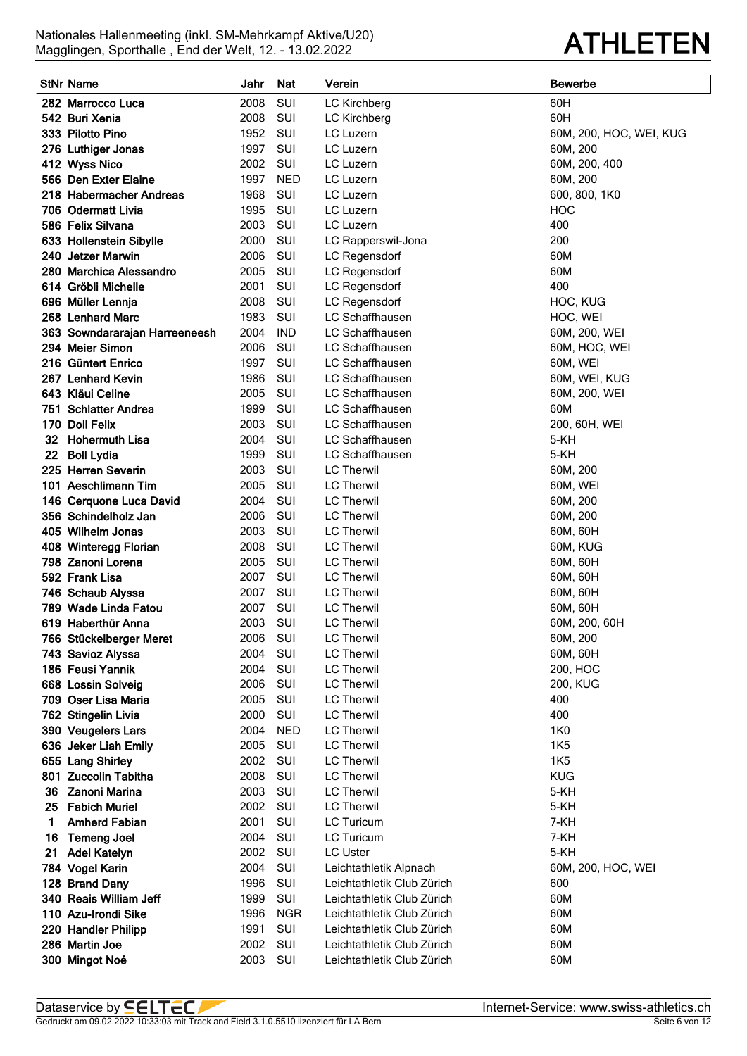|    | <b>StNr Name</b>                          | Jahr         | <b>Nat</b> | Verein                                 | <b>Bewerbe</b>          |
|----|-------------------------------------------|--------------|------------|----------------------------------------|-------------------------|
|    | 282 Marrocco Luca                         | 2008         | SUI        | <b>LC Kirchberg</b>                    | 60H                     |
|    | 542 Buri Xenia                            | 2008         | SUI        | LC Kirchberg                           | 60H                     |
|    | 333 Pilotto Pino                          | 1952         | SUI        | LC Luzern                              | 60M, 200, HOC, WEI, KUG |
|    | 276 Luthiger Jonas                        | 1997         | SUI        | LC Luzern                              | 60M, 200                |
|    | 412 Wyss Nico                             | 2002         | SUI        | LC Luzern                              | 60M, 200, 400           |
|    | 566 Den Exter Elaine                      | 1997         | <b>NED</b> | LC Luzern                              | 60M, 200                |
|    | 218 Habermacher Andreas                   | 1968         | SUI        | LC Luzern                              | 600, 800, 1K0           |
|    | 706 Odermatt Livia                        | 1995         | SUI        | LC Luzern                              | <b>HOC</b>              |
|    | 586 Felix Silvana                         | 2003         | SUI        | LC Luzern                              | 400                     |
|    | 633 Hollenstein Sibylle                   | 2000         | SUI        | LC Rapperswil-Jona                     | 200                     |
|    | 240 Jetzer Marwin                         | 2006         | SUI        | LC Regensdorf                          | 60M                     |
|    | 280 Marchica Alessandro                   | 2005         | SUI        | LC Regensdorf                          | 60M                     |
|    | 614 Gröbli Michelle                       | 2001         | SUI        | LC Regensdorf                          | 400                     |
|    | 696 Müller Lennja                         | 2008         | SUI        | LC Regensdorf                          | HOC, KUG                |
|    | 268 Lenhard Marc                          | 1983         | SUI        | LC Schaffhausen                        | HOC, WEI                |
|    | 363 Sowndararajan Harreeneesh             | 2004         | <b>IND</b> | LC Schaffhausen                        | 60M, 200, WEI           |
|    | 294 Meier Simon                           | 2006         | SUI        | LC Schaffhausen                        | 60M, HOC, WEI           |
|    | 216 Güntert Enrico                        | 1997         | SUI        | LC Schaffhausen                        | 60M, WEI                |
|    | 267 Lenhard Kevin                         | 1986         | SUI        | LC Schaffhausen                        | 60M, WEI, KUG           |
|    | 643 Kläui Celine                          | 2005         | SUI        | <b>LC Schaffhausen</b>                 | 60M, 200, WEI           |
|    | 751 Schlatter Andrea                      | 1999         | SUI        | <b>LC Schaffhausen</b>                 | 60M                     |
|    | 170 Doll Felix                            | 2003         | SUI        | <b>LC Schaffhausen</b>                 | 200, 60H, WEI           |
| 32 | <b>Hohermuth Lisa</b>                     | 2004         | SUI        | LC Schaffhausen                        | 5-KH                    |
| 22 | <b>Boll Lydia</b>                         | 1999         | SUI        | LC Schaffhausen                        | 5-KH                    |
|    | 225 Herren Severin                        | 2003         | SUI        | <b>LC Therwil</b>                      | 60M, 200                |
|    | 101 Aeschlimann Tim                       | 2005         | SUI        | <b>LC Therwil</b>                      | 60M, WEI                |
|    | 146 Cerquone Luca David                   | 2004         | SUI        | <b>LC Therwil</b>                      | 60M, 200                |
|    | 356 Schindelholz Jan                      | 2006         | SUI        | <b>LC Therwil</b>                      | 60M, 200                |
|    | 405 Wilhelm Jonas                         | 2003         | SUI        | <b>LC Therwil</b>                      | 60M, 60H                |
|    | 408 Winteregg Florian                     | 2008         | SUI        | <b>LC Therwil</b>                      | 60M, KUG                |
|    | 798 Zanoni Lorena                         | 2005         | SUI        | <b>LC Therwil</b>                      | 60M, 60H                |
|    | 592 Frank Lisa                            | 2007<br>2007 | SUI<br>SUI | <b>LC Therwil</b><br><b>LC Therwil</b> | 60M, 60H                |
|    | 746 Schaub Alyssa<br>789 Wade Linda Fatou | 2007         | SUI        | <b>LC Therwil</b>                      | 60M, 60H<br>60M, 60H    |
|    | 619 Haberthür Anna                        | 2003         | SUI        | <b>LC Therwil</b>                      | 60M, 200, 60H           |
|    | 766 Stückelberger Meret                   | 2006         | SUI        | <b>LC Therwil</b>                      | 60M, 200                |
|    | 743 Savioz Alyssa                         | 2004         | SUI        | <b>LC Therwil</b>                      | 60M, 60H                |
|    | 186 Feusi Yannik                          | 2004         | SUI        | <b>LC Therwil</b>                      | 200, HOC                |
|    | 668 Lossin Solveig                        | 2006         | SUI        | <b>LC Therwil</b>                      | <b>200, KUG</b>         |
|    | 709 Oser Lisa Maria                       | 2005         | SUI        | <b>LC Therwil</b>                      | 400                     |
|    | 762 Stingelin Livia                       | 2000         | SUI        | <b>LC Therwil</b>                      | 400                     |
|    | 390 Veugelers Lars                        | 2004         | <b>NED</b> | <b>LC Therwil</b>                      | 1K0                     |
|    | 636 Jeker Liah Emily                      | 2005         | SUI        | <b>LC Therwil</b>                      | <b>1K5</b>              |
|    | 655 Lang Shirley                          | 2002         | SUI        | <b>LC Therwil</b>                      | <b>1K5</b>              |
|    | 801 Zuccolin Tabitha                      | 2008         | SUI        | <b>LC Therwil</b>                      | <b>KUG</b>              |
| 36 | Zanoni Marina                             | 2003         | SUI        | <b>LC Therwil</b>                      | 5-KH                    |
| 25 | <b>Fabich Muriel</b>                      | 2002         | SUI        | <b>LC Therwil</b>                      | 5-KH                    |
| 1  | <b>Amherd Fabian</b>                      | 2001         | SUI        | LC Turicum                             | 7-KH                    |
| 16 | <b>Temeng Joel</b>                        | 2004         | SUI        | LC Turicum                             | 7-KH                    |
| 21 | <b>Adel Katelyn</b>                       | 2002         | SUI        | <b>LC Uster</b>                        | 5-KH                    |
|    | 784 Vogel Karin                           | 2004         | SUI        | Leichtathletik Alpnach                 | 60M, 200, HOC, WEI      |
|    | 128 Brand Dany                            | 1996         | SUI        | Leichtathletik Club Zürich             | 600                     |
|    | 340 Reais William Jeff                    | 1999         | SUI        | Leichtathletik Club Zürich             | 60M                     |
|    | 110 Azu-Irondi Sike                       | 1996         | <b>NGR</b> | Leichtathletik Club Zürich             | 60M                     |
|    | 220 Handler Philipp                       | 1991         | SUI        | Leichtathletik Club Zürich             | 60M                     |
|    | 286 Martin Joe                            | 2002         | SUI        | Leichtathletik Club Zürich             | 60M                     |
|    | 300 Mingot Noé                            | 2003         | SUI        | Leichtathletik Club Zürich             | 60M                     |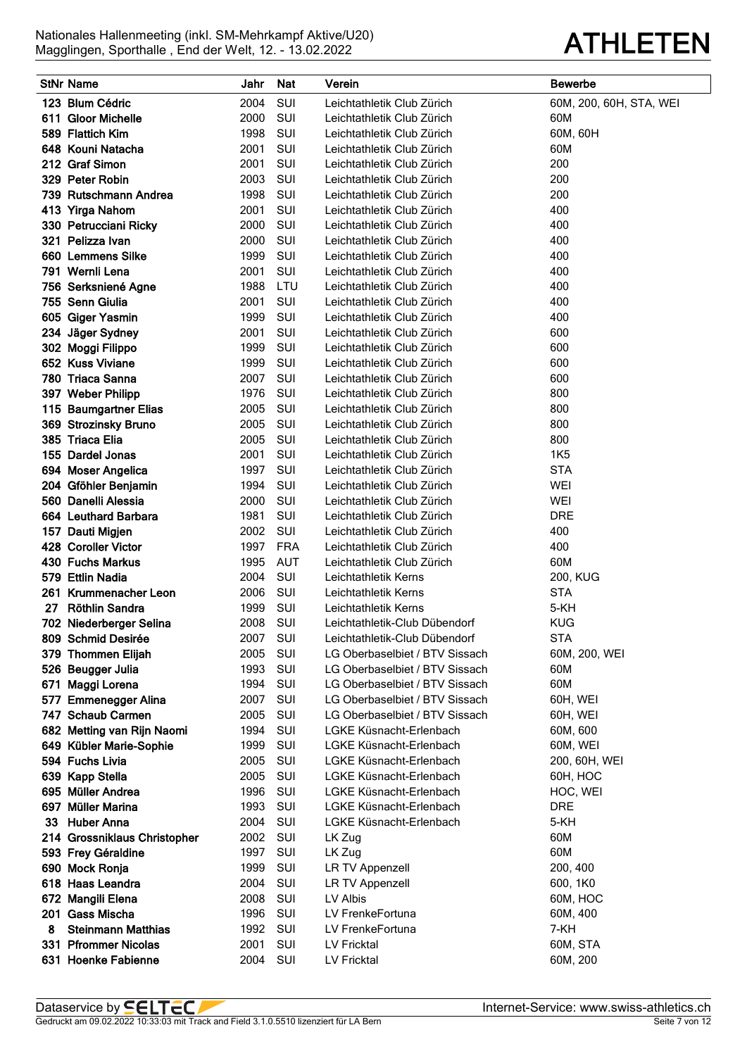

|     | StNr Name                            | Jahr         | <b>Nat</b> | Verein                                             | <b>Bewerbe</b>            |
|-----|--------------------------------------|--------------|------------|----------------------------------------------------|---------------------------|
|     | 123 Blum Cédric                      | 2004         | SUI        | Leichtathletik Club Zürich                         | 60M, 200, 60H, STA, WEI   |
| 611 | <b>Gloor Michelle</b>                | 2000         | SUI        | Leichtathletik Club Zürich                         | 60M                       |
|     | 589 Flattich Kim                     | 1998         | SUI        | Leichtathletik Club Zürich                         | 60M, 60H                  |
|     | 648 Kouni Natacha                    | 2001         | SUI        | Leichtathletik Club Zürich                         | 60M                       |
|     | 212 Graf Simon                       | 2001         | SUI        | Leichtathletik Club Zürich                         | 200                       |
|     | 329 Peter Robin                      | 2003         | SUI        | Leichtathletik Club Zürich                         | 200                       |
|     | 739 Rutschmann Andrea                | 1998         | SUI        | Leichtathletik Club Zürich                         | 200                       |
|     | 413 Yirga Nahom                      | 2001         | SUI        | Leichtathletik Club Zürich                         | 400                       |
|     | 330 Petrucciani Ricky                | 2000         | SUI        | Leichtathletik Club Zürich                         | 400                       |
|     | 321 Pelizza Ivan                     | 2000         | SUI        | Leichtathletik Club Zürich                         | 400                       |
|     | 660 Lemmens Silke                    | 1999         | SUI        | Leichtathletik Club Zürich                         | 400                       |
|     | 791 Wernli Lena                      | 2001         | SUI        | Leichtathletik Club Zürich                         | 400                       |
|     | 756 Serksniené Agne                  | 1988         | LTU        | Leichtathletik Club Zürich                         | 400                       |
|     | 755 Senn Giulia                      | 2001         | SUI        | Leichtathletik Club Zürich                         | 400                       |
|     | 605 Giger Yasmin                     | 1999         | SUI        | Leichtathletik Club Zürich                         | 400                       |
|     | 234 Jäger Sydney                     | 2001         | SUI        | Leichtathletik Club Zürich                         | 600                       |
|     | 302 Moggi Filippo                    | 1999         | SUI        | Leichtathletik Club Zürich                         | 600                       |
|     | 652 Kuss Viviane                     | 1999         | SUI        | Leichtathletik Club Zürich                         | 600                       |
|     | 780 Triaca Sanna                     | 2007         | SUI        | Leichtathletik Club Zürich                         | 600                       |
|     | 397 Weber Philipp                    | 1976         | SUI        | Leichtathletik Club Zürich                         | 800                       |
|     | 115 Baumgartner Elias                | 2005         | SUI        | Leichtathletik Club Zürich                         | 800                       |
|     | 369 Strozinsky Bruno                 | 2005         | SUI        | Leichtathletik Club Zürich                         | 800                       |
|     | 385 Triaca Elia                      | 2005         | SUI        | Leichtathletik Club Zürich                         | 800                       |
|     | 155 Dardel Jonas                     | 2001         | SUI        | Leichtathletik Club Zürich                         | 1K5                       |
|     | 694 Moser Angelica                   | 1997         | SUI        | Leichtathletik Club Zürich                         | <b>STA</b>                |
|     | 204 Gföhler Benjamin                 | 1994         | SUI        | Leichtathletik Club Zürich                         | WEI                       |
|     | 560 Danelli Alessia                  | 2000         | SUI        | Leichtathletik Club Zürich                         | WEI                       |
|     | 664 Leuthard Barbara                 | 1981         | SUI        | Leichtathletik Club Zürich                         | <b>DRE</b>                |
|     | 157 Dauti Migjen                     | 2002         | SUI        | Leichtathletik Club Zürich                         | 400                       |
|     | 428 Coroller Victor                  | 1997         | <b>FRA</b> | Leichtathletik Club Zürich                         | 400                       |
|     | 430 Fuchs Markus                     | 1995         | <b>AUT</b> | Leichtathletik Club Zürich                         | 60M                       |
|     | 579 Ettlin Nadia                     | 2004         | SUI        | Leichtathletik Kerns                               | 200, KUG                  |
| 261 | Krummenacher Leon                    | 2006         | SUI        | Leichtathletik Kerns                               | <b>STA</b>                |
| 27  | Röthlin Sandra                       | 1999         | SUI        | Leichtathletik Kerns                               | 5-KH                      |
|     | 702 Niederberger Selina              | 2008         | SUI        | Leichtathletik-Club Dübendorf                      | <b>KUG</b>                |
|     | 809 Schmid Desirée                   | 2007         | SUI        | Leichtathletik-Club Dübendorf                      | <b>STA</b>                |
|     | 379 Thommen Elijah                   | 2005         | SUI        | LG Oberbaselbiet / BTV Sissach                     | 60M, 200, WEI             |
|     | 526 Beugger Julia                    | 1993         | SUI        | LG Oberbaselbiet / BTV Sissach                     | 60M                       |
| 671 | Maggi Lorena                         | 1994         | SUI        | LG Oberbaselbiet / BTV Sissach                     | 60M                       |
|     | 577 Emmenegger Alina                 | 2007         | SUI        | LG Oberbaselbiet / BTV Sissach                     | 60H, WEI                  |
|     | 747 Schaub Carmen                    | 2005         | SUI        | LG Oberbaselbiet / BTV Sissach                     | 60H, WEI                  |
|     | 682 Metting van Rijn Naomi           | 1994         | SUI        | LGKE Küsnacht-Erlenbach                            | 60M, 600                  |
|     | 649 Kübler Marie-Sophie              | 1999         | SUI        | LGKE Küsnacht-Erlenbach                            | 60M, WEI                  |
|     | 594 Fuchs Livia                      | 2005<br>2005 | SUI<br>SUI | LGKE Küsnacht-Erlenbach<br>LGKE Küsnacht-Erlenbach | 200, 60H, WEI<br>60H, HOC |
|     | 639 Kapp Stella<br>695 Müller Andrea | 1996         | SUI        | LGKE Küsnacht-Erlenbach                            | HOC, WEI                  |
|     | 697 Müller Marina                    | 1993         | SUI        | LGKE Küsnacht-Erlenbach                            | <b>DRE</b>                |
|     | 33 Huber Anna                        | 2004         | SUI        | LGKE Küsnacht-Erlenbach                            | 5-KH                      |
|     | 214 Grossniklaus Christopher         | 2002         | SUI        | LK Zug                                             | 60M                       |
|     | 593 Frey Géraldine                   | 1997         | SUI        | LK Zug                                             | 60M                       |
|     | 690 Mock Ronja                       | 1999         | SUI        | <b>LR TV Appenzell</b>                             | 200, 400                  |
|     | 618 Haas Leandra                     | 2004         | SUI        | LR TV Appenzell                                    | 600, 1K0                  |
|     | 672 Mangili Elena                    | 2008         | SUI        | LV Albis                                           | 60M, HOC                  |
|     | 201 Gass Mischa                      | 1996         | SUI        | LV FrenkeFortuna                                   | 60M, 400                  |
| 8   | <b>Steinmann Matthias</b>            | 1992         | SUI        | LV FrenkeFortuna                                   | 7-KH                      |
|     | 331 Pfrommer Nicolas                 | 2001         | SUI        | LV Fricktal                                        | 60M, STA                  |
|     | 631 Hoenke Fabienne                  | 2004         | SUI        | LV Fricktal                                        | 60M, 200                  |
|     |                                      |              |            |                                                    |                           |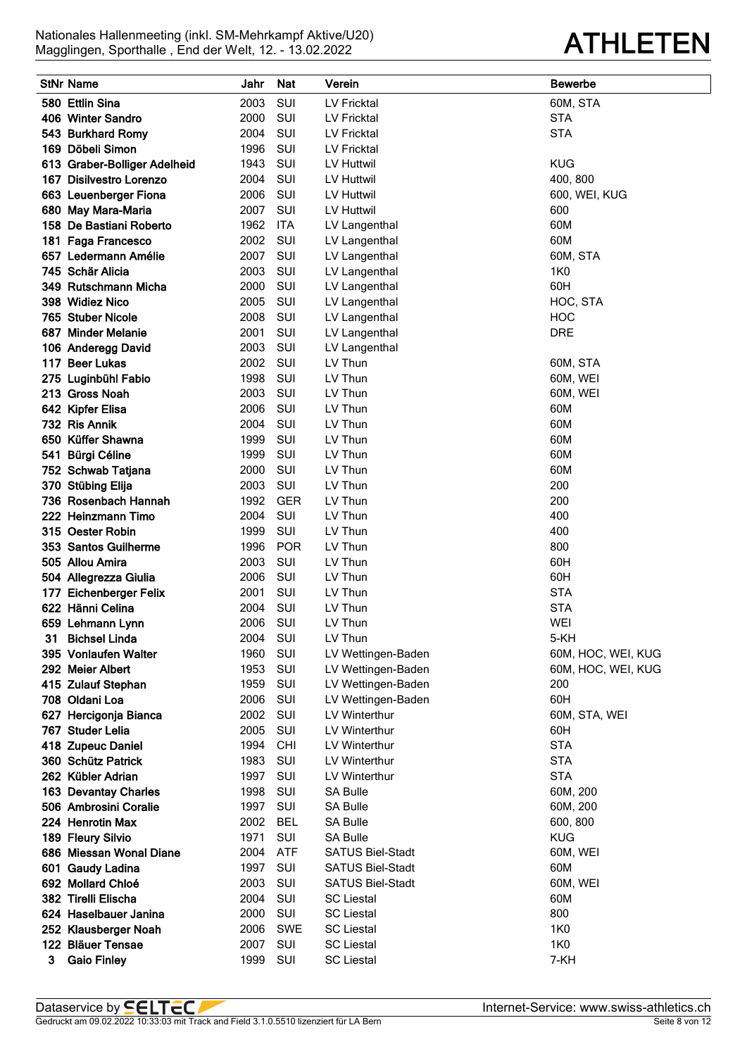| Nationales Hallenmeeting (inkl. SM-Mehrkampf Aktive/U20) |
|----------------------------------------------------------|
| Magglingen, Sporthalle, End der Welt, 12. - 13.02.2022   |

# Magglingen, Sporthalle , End der Welt, 12. - 13.02.2022 **ATHLETEN**

|    | <b>StNr Name</b>             | Jahr | Nat               | Verein                  | <b>Bewerbe</b>     |
|----|------------------------------|------|-------------------|-------------------------|--------------------|
|    | 580 Ettlin Sina              | 2003 | SUI               | LV Fricktal             | 60M, STA           |
|    | 406 Winter Sandro            | 2000 | SUI               | <b>LV Fricktal</b>      | <b>STA</b>         |
|    | 543 Burkhard Romy            | 2004 | SUI               | LV Fricktal             | <b>STA</b>         |
|    | 169 Döbeli Simon             | 1996 | SUI               | LV Fricktal             |                    |
|    | 613 Graber-Bolliger Adelheid | 1943 | SUI               | LV Huttwil              | <b>KUG</b>         |
|    | 167 Disilvestro Lorenzo      | 2004 | SUI               | LV Huttwil              | 400, 800           |
|    | 663 Leuenberger Fiona        | 2006 | SUI               | LV Huttwil              | 600, WEI, KUG      |
|    | 680 May Mara-Maria           | 2007 | SUI               | LV Huttwil              | 600                |
|    | 158 De Bastiani Roberto      | 1962 | <b>ITA</b>        | LV Langenthal           | 60M                |
|    | 181 Faga Francesco           | 2002 | SUI               | LV Langenthal           | 60M                |
|    | 657 Ledermann Amélie         | 2007 | SUI               | LV Langenthal           | 60M, STA           |
|    | 745 Schär Alicia             | 2003 | <b>SUI</b>        | LV Langenthal           | 1K <sub>0</sub>    |
|    | 349 Rutschmann Micha         | 2000 | SUI               | LV Langenthal           | 60H                |
|    | 398 Widiez Nico              | 2005 | <b>SUI</b>        | LV Langenthal           | HOC, STA           |
|    | 765 Stuber Nicole            | 2008 | <b>SUI</b>        | LV Langenthal           | <b>HOC</b>         |
|    | 687 Minder Melanie           | 2001 | <b>SUI</b>        | LV Langenthal           | <b>DRE</b>         |
|    | 106 Anderegg David           | 2003 | SUI               | LV Langenthal           |                    |
|    | 117 Beer Lukas               | 2002 | SUI               | LV Thun                 | 60M, STA           |
|    | 275 Luginbühl Fabio          | 1998 | SUI               | LV Thun                 | 60M, WEI           |
|    | 213 Gross Noah               | 2003 | SUI               | LV Thun                 | 60M, WEI           |
|    | 642 Kipfer Elisa             | 2006 | SUI               | LV Thun                 | 60M                |
|    | 732 Ris Annik                | 2004 | SUI               | LV Thun                 | 60M                |
|    | 650 Küffer Shawna            | 1999 | SUI               | LV Thun                 | 60M                |
|    | 541 Bürgi Céline             | 1999 | SUI               | LV Thun                 | 60M                |
|    | 752 Schwab Tatjana           | 2000 | SUI               | LV Thun                 | 60M                |
|    | 370 Stübing Elija            | 2003 | SUI               | LV Thun                 | 200                |
|    | 736 Rosenbach Hannah         | 1992 | <b>GER</b>        | LV Thun                 | 200                |
|    | 222 Heinzmann Timo           | 2004 | SUI               | LV Thun                 | 400                |
|    | 315 Oester Robin             | 1999 | <b>SUI</b>        | LV Thun                 | 400                |
|    | 353 Santos Guilherme         | 1996 | <b>POR</b>        | LV Thun                 | 800                |
|    | 505 Allou Amira              | 2003 | <b>SUI</b>        | LV Thun                 | 60H                |
|    | 504 Allegrezza Giulia        | 2006 | SUI               | LV Thun                 | 60H                |
|    | 177 Eichenberger Felix       | 2001 | SUI               | LV Thun                 | <b>STA</b>         |
|    | 622 Hänni Celina             | 2004 | SUI               | LV Thun                 | <b>STA</b>         |
|    | 659 Lehmann Lynn             | 2006 | SUI               | LV Thun                 | <b>WEI</b>         |
| 31 | <b>Bichsel Linda</b>         | 2004 | SUI               | LV Thun                 | 5-KH               |
|    | 395 Vonlaufen Walter         | 1960 | SUI               | LV Wettingen-Baden      | 60M, HOC, WEI, KUG |
|    | 292 Meier Albert             | 1953 | SUI               | LV Wettingen-Baden      | 60M, HOC, WEI, KUG |
|    | 415 Zulauf Stephan           | 1959 | SUI               | LV Wettingen-Baden      | 200                |
|    | 708 Oldani Loa               | 2006 | SUI               | LV Wettingen-Baden      | 60H                |
|    | 627 Hercigonja Bianca        | 2002 | SUI               | LV Winterthur           | 60M, STA, WEI      |
|    | 767 Studer Lelia             | 2005 | SUI               | LV Winterthur           | 60H                |
|    | 418 Zupeuc Daniel            | 1994 | <b>CHI</b>        | LV Winterthur           | <b>STA</b>         |
|    | 360 Schütz Patrick           | 1983 | SUI               | <b>LV Winterthur</b>    | <b>STA</b>         |
|    | 262 Kübler Adrian            | 1997 | SUI               | LV Winterthur           | <b>STA</b>         |
|    | 163 Devantay Charles         | 1998 | SUI               | SA Bulle                | 60M, 200           |
|    | 506 Ambrosini Coralie        | 1997 | SUI               | SA Bulle                | 60M, 200           |
|    | 224 Henrotin Max             | 2002 | BEL               | SA Bulle                | 600, 800           |
|    | 189 Fleury Silvio            | 1971 | SUI               | SA Bulle                | <b>KUG</b>         |
|    | 686 Miessan Wonal Diane      | 2004 | ATF               | <b>SATUS Biel-Stadt</b> | 60M, WEI           |
|    | 601 Gaudy Ladina             | 1997 | SUI               | <b>SATUS Biel-Stadt</b> | 60M                |
|    | 692 Mollard Chloé            | 2003 | SUI               | <b>SATUS Biel-Stadt</b> | 60M, WEI           |
|    | 382 Tirelli Elischa          | 2004 | SUI               | <b>SC Liestal</b>       | 60M                |
|    | 624 Haselbauer Janina        | 2000 | SUI               | <b>SC Liestal</b>       | 800                |
|    | 252 Klausberger Noah         | 2006 | <b>SWE</b><br>SUI | <b>SC Liestal</b>       | 1K0                |
|    | 122 Bläuer Tensae            | 2007 |                   | <b>SC Liestal</b>       | 1K0                |
| 3. | <b>Gaio Finley</b>           | 1999 | SUI               | <b>SC Liestal</b>       | 7-KH               |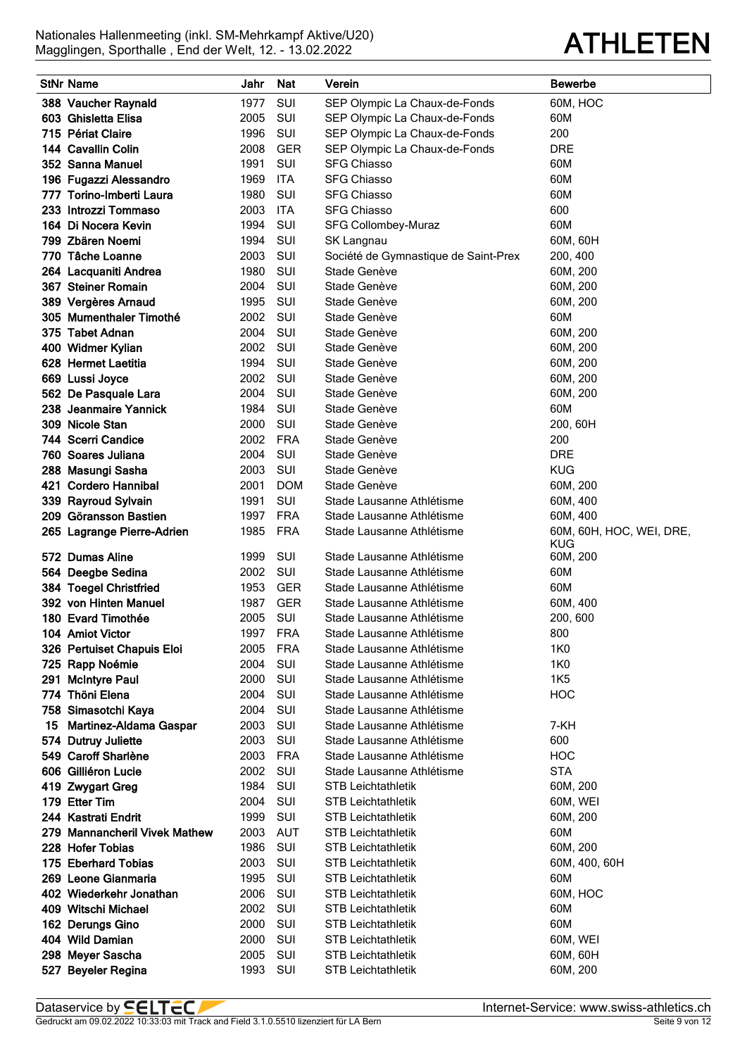

|      | <b>StNr Name</b>              | Jahr | <b>Nat</b> | Verein                               | <b>Bewerbe</b>                         |
|------|-------------------------------|------|------------|--------------------------------------|----------------------------------------|
|      | 388 Vaucher Raynald           | 1977 | SUI        | SEP Olympic La Chaux-de-Fonds        | 60M, HOC                               |
|      | 603 Ghisletta Elisa           | 2005 | SUI        | SEP Olympic La Chaux-de-Fonds        | 60M                                    |
|      | 715 Périat Claire             | 1996 | SUI        | SEP Olympic La Chaux-de-Fonds        | 200                                    |
|      | 144 Cavallin Colin            | 2008 | <b>GER</b> | SEP Olympic La Chaux-de-Fonds        | <b>DRE</b>                             |
|      | 352 Sanna Manuel              | 1991 | SUI        | <b>SFG Chiasso</b>                   | 60M                                    |
|      | 196 Fugazzi Alessandro        | 1969 | ITA        | <b>SFG Chiasso</b>                   | 60M                                    |
|      | 777 Torino-Imberti Laura      | 1980 | SUI        | <b>SFG Chiasso</b>                   | 60M                                    |
|      | 233 Introzzi Tommaso          | 2003 | <b>ITA</b> | <b>SFG Chiasso</b>                   | 600                                    |
|      | 164 Di Nocera Kevin           | 1994 | <b>SUI</b> | SFG Collombey-Muraz                  | 60M                                    |
|      | 799  Zbären Noemi             | 1994 | <b>SUI</b> | SK Langnau                           | 60M, 60H                               |
|      | 770 Tâche Loanne              | 2003 | SUI        | Société de Gymnastique de Saint-Prex | 200, 400                               |
|      | 264 Lacquaniti Andrea         | 1980 | <b>SUI</b> | Stade Genève                         | 60M, 200                               |
|      | 367 Steiner Romain            | 2004 | <b>SUI</b> | Stade Genève                         | 60M, 200                               |
|      | 389 Vergères Arnaud           | 1995 | <b>SUI</b> | Stade Genève                         | 60M, 200                               |
|      | 305 Mumenthaler Timothé       | 2002 | <b>SUI</b> | Stade Genève                         | 60M                                    |
|      | 375 Tabet Adnan               | 2004 | SUI        | Stade Genève                         | 60M, 200                               |
|      | 400 Widmer Kylian             | 2002 | <b>SUI</b> | Stade Genève                         | 60M, 200                               |
|      | 628 Hermet Laetitia           | 1994 | <b>SUI</b> | Stade Genève                         | 60M, 200                               |
|      | 669 Lussi Joyce               | 2002 | SUI        | Stade Genève                         | 60M, 200                               |
|      | 562 De Pasquale Lara          | 2004 | SUI        | Stade Genève                         | 60M, 200                               |
|      | 238 Jeanmaire Yannick         | 1984 | SUI        | Stade Genève                         | 60M                                    |
|      | 309 Nicole Stan               | 2000 | <b>SUI</b> | Stade Genève                         | 200, 60H                               |
|      | 744 Scerri Candice            | 2002 | <b>FRA</b> | Stade Genève                         | 200                                    |
|      | 760 Soares Juliana            | 2004 | <b>SUI</b> | Stade Genève                         | <b>DRE</b>                             |
|      | 288 Masungi Sasha             | 2003 | <b>SUI</b> | Stade Genève                         | <b>KUG</b>                             |
|      | 421 Cordero Hannibal          | 2001 | <b>DOM</b> | Stade Genève                         | 60M, 200                               |
|      | 339 Rayroud Sylvain           | 1991 | SUI        | Stade Lausanne Athlétisme            | 60M, 400                               |
|      | 209 Göransson Bastien         | 1997 | <b>FRA</b> | Stade Lausanne Athlétisme            | 60M, 400                               |
|      | 265 Lagrange Pierre-Adrien    | 1985 | <b>FRA</b> | Stade Lausanne Athlétisme            | 60M, 60H, HOC, WEI, DRE,<br><b>KUG</b> |
|      | 572 Dumas Aline               | 1999 | <b>SUI</b> | Stade Lausanne Athlétisme            | 60M, 200                               |
|      | 564 Deegbe Sedina             | 2002 | <b>SUI</b> | Stade Lausanne Athlétisme            | 60M                                    |
|      | 384 Toegel Christfried        | 1953 | <b>GER</b> | Stade Lausanne Athlétisme            | 60M                                    |
|      | 392 von Hinten Manuel         | 1987 | <b>GER</b> | Stade Lausanne Athlétisme            | 60M, 400                               |
|      | 180 Evard Timothée            | 2005 | SUI        | Stade Lausanne Athlétisme            | 200, 600                               |
|      | 104 Amiot Victor              | 1997 | <b>FRA</b> | Stade Lausanne Athlétisme            | 800                                    |
|      | 326 Pertuiset Chapuis Eloi    | 2005 | <b>FRA</b> | Stade Lausanne Athlétisme            | 1K0                                    |
|      | 725 Rapp Noémie               | 2004 | SUI        | Stade Lausanne Athlétisme            | 1K0                                    |
| 291  | <b>McIntyre Paul</b>          | 2000 | SUI        | Stade Lausanne Athlétisme            | 1K <sub>5</sub>                        |
| 774. | Thöni Elena                   | 2004 | SUI        | Stade Lausanne Athlétisme            | <b>HOC</b>                             |
|      | 758 Simasotchi Kaya           | 2004 | SUI        | Stade Lausanne Athlétisme            |                                        |
| 15   | Martinez-Aldama Gaspar        | 2003 | <b>SUI</b> | Stade Lausanne Athlétisme            | 7-KH                                   |
|      | 574 Dutruy Juliette           | 2003 | SUI        | Stade Lausanne Athlétisme            | 600                                    |
|      | 549 Caroff Sharlène           | 2003 | <b>FRA</b> | Stade Lausanne Athlétisme            | <b>HOC</b>                             |
|      | 606 Gilliéron Lucie           | 2002 | <b>SUI</b> | Stade Lausanne Athlétisme            | <b>STA</b>                             |
|      | 419 Zwygart Greg              | 1984 | SUI        | <b>STB Leichtathletik</b>            | 60M, 200                               |
|      | 179 Etter Tim                 | 2004 | SUI        | <b>STB Leichtathletik</b>            | 60M, WEI                               |
|      | 244 Kastrati Endrit           | 1999 | SUI        | <b>STB Leichtathletik</b>            | 60M, 200                               |
|      | 279 Mannancheril Vivek Mathew | 2003 | <b>AUT</b> | <b>STB Leichtathletik</b>            | 60M                                    |
|      | 228 Hofer Tobias              | 1986 | SUI        | <b>STB Leichtathletik</b>            | 60M, 200                               |
|      | 175 Eberhard Tobias           | 2003 | SUI        | <b>STB Leichtathletik</b>            | 60M, 400, 60H                          |
|      | 269 Leone Gianmaria           | 1995 | SUI        | <b>STB Leichtathletik</b>            | 60M                                    |
|      | 402 Wiederkehr Jonathan       | 2006 | <b>SUI</b> | <b>STB Leichtathletik</b>            | 60M, HOC                               |
|      | 409 Witschi Michael           | 2002 | SUI        | <b>STB Leichtathletik</b>            | 60M                                    |
|      | 162 Derungs Gino              | 2000 | SUI        | <b>STB Leichtathletik</b>            | 60M                                    |
|      | 404 Wild Damian               | 2000 | SUI        | <b>STB Leichtathletik</b>            | 60M, WEI                               |
|      | 298 Meyer Sascha              | 2005 | SUI        | <b>STB Leichtathletik</b>            | 60M, 60H                               |
| 527  | <b>Beyeler Regina</b>         | 1993 | SUI        | <b>STB Leichtathletik</b>            | 60M, 200                               |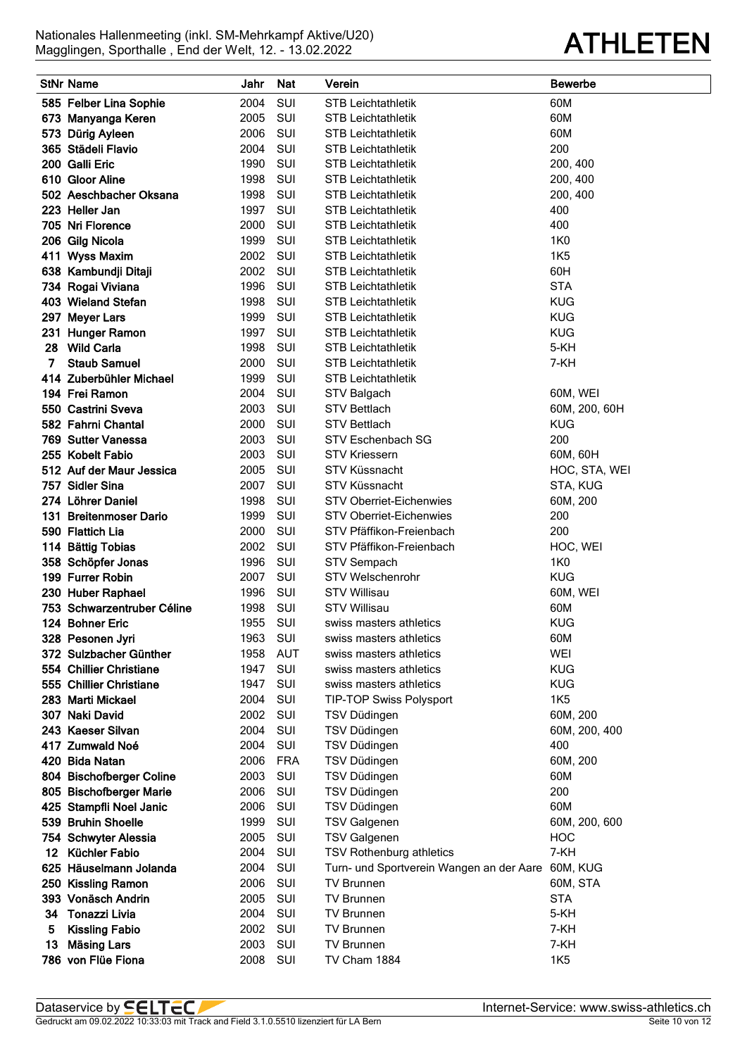|           | <b>StNr Name</b>                              | Jahr         | <b>Nat</b>               | Verein                                             | <b>Bewerbe</b>           |
|-----------|-----------------------------------------------|--------------|--------------------------|----------------------------------------------------|--------------------------|
|           | 585 Felber Lina Sophie                        | 2004         | SUI                      | <b>STB Leichtathletik</b>                          | 60M                      |
|           | 673 Manyanga Keren                            | 2005         | SUI                      | <b>STB Leichtathletik</b>                          | 60M                      |
|           | 573 Dürig Ayleen                              | 2006         | SUI                      | <b>STB Leichtathletik</b>                          | 60M                      |
|           | 365 Städeli Flavio                            | 2004         | SUI                      | <b>STB Leichtathletik</b>                          | 200                      |
|           | 200 Galli Eric                                | 1990         | <b>SUI</b>               | <b>STB Leichtathletik</b>                          | 200, 400                 |
|           | 610 Gloor Aline                               | 1998         | SUI                      | <b>STB Leichtathletik</b>                          | 200, 400                 |
|           | 502 Aeschbacher Oksana                        | 1998         | <b>SUI</b>               | <b>STB Leichtathletik</b>                          | 200, 400                 |
|           | 223 Heller Jan                                | 1997         | <b>SUI</b>               | STB Leichtathletik                                 | 400                      |
|           | 705 Nri Florence                              | 2000         | <b>SUI</b>               | <b>STB Leichtathletik</b>                          | 400                      |
|           | 206 Gilg Nicola                               | 1999         | SUI                      | <b>STB Leichtathletik</b>                          | 1K0                      |
|           | 411 Wyss Maxim                                | 2002         | <b>SUI</b>               | <b>STB Leichtathletik</b>                          | <b>1K5</b>               |
|           | 638 Kambundji Ditaji                          | 2002         | SUI                      | <b>STB Leichtathletik</b>                          | 60H                      |
|           | 734 Rogai Viviana                             | 1996         | SUI                      | <b>STB Leichtathletik</b>                          | <b>STA</b>               |
|           | 403 Wieland Stefan                            | 1998         | <b>SUI</b>               | STB Leichtathletik                                 | <b>KUG</b>               |
|           | 297 Meyer Lars                                | 1999<br>1997 | <b>SUI</b><br><b>SUI</b> | STB Leichtathletik<br><b>STB Leichtathletik</b>    | <b>KUG</b><br><b>KUG</b> |
| 231<br>28 | <b>Hunger Ramon</b><br><b>Wild Carla</b>      | 1998         | <b>SUI</b>               | <b>STB Leichtathletik</b>                          | 5-KH                     |
| 7         | <b>Staub Samuel</b>                           | 2000         | SUI                      | <b>STB Leichtathletik</b>                          | 7-KH                     |
|           | 414 Zuberbühler Michael                       | 1999         | SUI                      | <b>STB Leichtathletik</b>                          |                          |
|           | 194 Frei Ramon                                | 2004         | <b>SUI</b>               | STV Balgach                                        | 60M, WEI                 |
|           | 550 Castrini Sveva                            | 2003         | <b>SUI</b>               | <b>STV Bettlach</b>                                | 60M, 200, 60H            |
|           | 582 Fahrni Chantal                            | 2000         | <b>SUI</b>               | <b>STV Bettlach</b>                                | <b>KUG</b>               |
|           | 769 Sutter Vanessa                            | 2003         | <b>SUI</b>               | <b>STV Eschenbach SG</b>                           | 200                      |
|           | 255 Kobelt Fabio                              | 2003         | <b>SUI</b>               | <b>STV Kriessern</b>                               | 60M, 60H                 |
|           | 512 Auf der Maur Jessica                      | 2005         | <b>SUI</b>               | STV Küssnacht                                      | HOC, STA, WEI            |
|           | 757 Sidler Sina                               | 2007         | <b>SUI</b>               | STV Küssnacht                                      | STA, KUG                 |
|           | 274 Löhrer Daniel                             | 1998         | <b>SUI</b>               | <b>STV Oberriet-Eichenwies</b>                     | 60M, 200                 |
|           | 131 Breitenmoser Dario                        | 1999         | <b>SUI</b>               | <b>STV Oberriet-Eichenwies</b>                     | 200                      |
|           | 590 Flattich Lia                              | 2000         | <b>SUI</b>               | STV Pfäffikon-Freienbach                           | 200                      |
|           | 114 Bättig Tobias                             | 2002         | <b>SUI</b>               | STV Pfäffikon-Freienbach                           | HOC, WEI                 |
|           | 358 Schöpfer Jonas                            | 1996         | <b>SUI</b>               | <b>STV Sempach</b>                                 | 1K0                      |
|           | 199 Furrer Robin                              | 2007         | SUI                      | <b>STV Welschenrohr</b>                            | <b>KUG</b>               |
|           | 230 Huber Raphael                             | 1996         | SUI                      | <b>STV Willisau</b>                                | 60M, WEI                 |
|           | 753 Schwarzentruber Céline<br>124 Bohner Eric | 1998         | SUI                      | <b>STV Willisau</b>                                | 60M                      |
|           | 328 Pesonen Jyri                              | 1955<br>1963 | SUI<br>SUI               | swiss masters athletics<br>swiss masters athletics | <b>KUG</b><br>60M        |
|           | 372 Sulzbacher Günther                        | 1958         | <b>AUT</b>               | swiss masters athletics                            | <b>WEI</b>               |
|           | 554 Chillier Christiane                       | 1947         | <b>SUI</b>               | swiss masters athletics                            | <b>KUG</b>               |
|           | 555 Chillier Christiane                       | 1947         | <b>SUI</b>               | swiss masters athletics                            | <b>KUG</b>               |
|           | 283 Marti Mickael                             | 2004         | <b>SUI</b>               | <b>TIP-TOP Swiss Polysport</b>                     | <b>1K5</b>               |
|           | 307 Naki David                                | 2002         | SUI                      | TSV Düdingen                                       | 60M, 200                 |
|           | 243 Kaeser Silvan                             | 2004         | <b>SUI</b>               | TSV Düdingen                                       | 60M, 200, 400            |
|           | 417 Zumwald Noé                               | 2004         | <b>SUI</b>               | TSV Düdingen                                       | 400                      |
|           | 420 Bida Natan                                | 2006         | <b>FRA</b>               | TSV Düdingen                                       | 60M, 200                 |
|           | 804 Bischofberger Coline                      | 2003         | <b>SUI</b>               | TSV Düdingen                                       | 60M                      |
|           | 805 Bischofberger Marie                       | 2006         | SUI                      | TSV Düdingen                                       | 200                      |
|           | 425 Stampfli Noel Janic                       | 2006         | <b>SUI</b>               | TSV Düdingen                                       | 60M                      |
|           | 539 Bruhin Shoelle                            | 1999         | SUI                      | <b>TSV Galgenen</b>                                | 60M, 200, 600            |
|           | 754 Schwyter Alessia                          | 2005         | SUI                      | <b>TSV Galgenen</b>                                | HOC                      |
| 12        | <b>Küchler Fabio</b>                          | 2004         | SUI                      | <b>TSV Rothenburg athletics</b>                    | 7-KH                     |
|           | 625 Häuselmann Jolanda                        | 2004         | <b>SUI</b>               | Turn- und Sportverein Wangen an der Aare           | 60M, KUG                 |
|           | 250 Kissling Ramon                            | 2006         | <b>SUI</b>               | <b>TV Brunnen</b><br><b>TV Brunnen</b>             | 60M, STA                 |
| 34        | 393 Vonäsch Andrin<br>Tonazzi Livia           | 2005<br>2004 | <b>SUI</b><br><b>SUI</b> | <b>TV Brunnen</b>                                  | <b>STA</b><br>5-KH       |
| 5         | <b>Kissling Fabio</b>                         | 2002         | <b>SUI</b>               | <b>TV Brunnen</b>                                  | 7-KH                     |
| 13        | <b>Mäsing Lars</b>                            | 2003         | SUI                      | <b>TV Brunnen</b>                                  | 7-KH                     |
|           | 786 von Flüe Fiona                            | 2008         | SUI                      | TV Cham 1884                                       | <b>1K5</b>               |
|           |                                               |              |                          |                                                    |                          |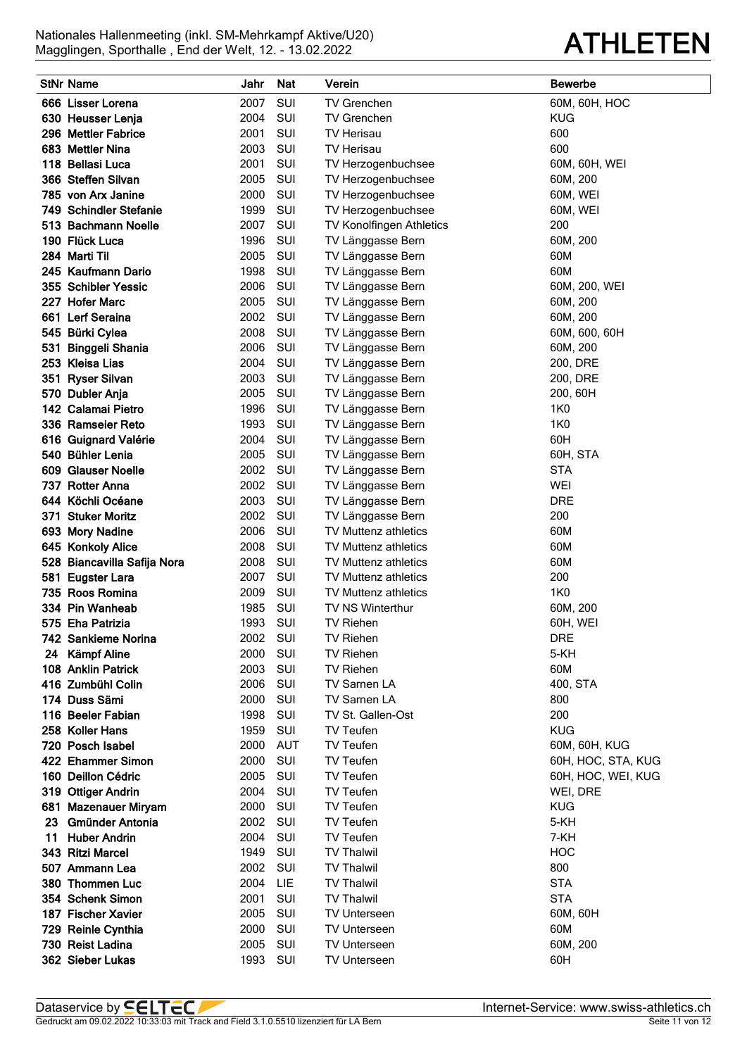|     | <b>StNr Name</b>                        | Jahr         | <b>Nat</b>        | Verein                                                     | <b>Bewerbe</b>     |
|-----|-----------------------------------------|--------------|-------------------|------------------------------------------------------------|--------------------|
|     | 666 Lisser Lorena                       | 2007         | <b>SUI</b>        | <b>TV Grenchen</b>                                         | 60M, 60H, HOC      |
|     | 630 Heusser Lenja                       | 2004         | SUI               | <b>TV Grenchen</b>                                         | <b>KUG</b>         |
|     | 296 Mettler Fabrice                     | 2001         | <b>SUI</b>        | <b>TV Herisau</b>                                          | 600                |
|     | 683 Mettler Nina                        | 2003         | SUI               | <b>TV Herisau</b>                                          | 600                |
|     | 118 Bellasi Luca                        | 2001         | SUI               | TV Herzogenbuchsee                                         | 60M, 60H, WEI      |
|     | 366 Steffen Silvan                      | 2005         | SUI               | TV Herzogenbuchsee                                         | 60M, 200           |
|     | 785 von Arx Janine                      | 2000         | SUI               | TV Herzogenbuchsee                                         | 60M, WEI           |
|     | <b>749 Schindler Stefanie</b>           | 1999         | SUI               | TV Herzogenbuchsee                                         | 60M, WEI           |
|     | 513 Bachmann Noelle                     | 2007         | SUI               | TV Konolfingen Athletics                                   | 200                |
|     | 190 Flück Luca                          | 1996         | SUI               | TV Länggasse Bern                                          | 60M, 200           |
|     | 284 Marti Til<br>245 Kaufmann Dario     | 2005         | SUI               | TV Länggasse Bern                                          | 60M<br>60M         |
|     | 355 Schibler Yessic                     | 1998<br>2006 | SUI<br>SUI        | TV Länggasse Bern                                          | 60M, 200, WEI      |
|     | 227 Hofer Marc                          | 2005         | SUI               | TV Länggasse Bern<br>TV Länggasse Bern                     | 60M, 200           |
|     | 661 Lerf Seraina                        | 2002         | SUI               | TV Länggasse Bern                                          | 60M, 200           |
|     | 545 Bürki Cylea                         | 2008         | <b>SUI</b>        | TV Länggasse Bern                                          | 60M, 600, 60H      |
| 531 | <b>Binggeli Shania</b>                  | 2006         | SUI               | TV Länggasse Bern                                          | 60M, 200           |
|     | 253 Kleisa Lias                         | 2004         | SUI               | TV Länggasse Bern                                          | 200, DRE           |
|     | 351 Ryser Silvan                        | 2003         | <b>SUI</b>        | TV Länggasse Bern                                          | 200, DRE           |
|     | 570 Dubler Anja                         | 2005         | SUI               | TV Länggasse Bern                                          | 200, 60H           |
|     | 142 Calamai Pietro                      | 1996         | SUI               | TV Länggasse Bern                                          | 1K <sub>0</sub>    |
|     | 336 Ramseier Reto                       | 1993         | SUI               | TV Länggasse Bern                                          | 1K <sub>0</sub>    |
|     | 616 Guignard Valérie                    | 2004         | SUI               | TV Länggasse Bern                                          | 60H                |
|     | 540 Bühler Lenia                        | 2005         | SUI               | TV Länggasse Bern                                          | 60H, STA           |
|     | 609 Glauser Noelle                      | 2002         | <b>SUI</b>        | TV Länggasse Bern                                          | <b>STA</b>         |
|     | 737 Rotter Anna                         | 2002         | <b>SUI</b>        | TV Länggasse Bern                                          | WEI                |
|     | 644 Köchli Océane                       | 2003         | <b>SUI</b>        | TV Länggasse Bern                                          | <b>DRE</b>         |
|     | 371 Stuker Moritz                       | 2002         | SUI               | TV Länggasse Bern                                          | 200                |
|     | 693 Mory Nadine                         | 2006         | SUI               | <b>TV Muttenz athletics</b>                                | 60M                |
|     | 645 Konkoly Alice                       | 2008         | SUI               | <b>TV Muttenz athletics</b>                                | 60M                |
|     | 528 Biancavilla Safija Nora             | 2008<br>2007 | <b>SUI</b><br>SUI | <b>TV Muttenz athletics</b><br><b>TV Muttenz athletics</b> | 60M<br>200         |
|     | 581 Eugster Lara<br>735 Roos Romina     | 2009         | <b>SUI</b>        | TV Muttenz athletics                                       | 1K <sub>0</sub>    |
|     | 334 Pin Wanheab                         | 1985         | SUI               | <b>TV NS Winterthur</b>                                    | 60M, 200           |
|     | 575 Eha Patrizia                        | 1993         | <b>SUI</b>        | <b>TV Riehen</b>                                           | 60H, WEI           |
|     | 742 Sankieme Norina                     | 2002         | SUI               | <b>TV Riehen</b>                                           | <b>DRE</b>         |
|     | 24 Kämpf Aline                          | 2000         | SUI               | <b>TV Riehen</b>                                           | 5-KH               |
|     | 108 Anklin Patrick                      | 2003         | SUI               | <b>TV Riehen</b>                                           | 60M                |
|     | 416 Zumbühl Colin                       | 2006         | SUI               | <b>TV Sarnen LA</b>                                        | 400, STA           |
|     | 174 Duss Sämi                           | 2000         | SUI               | TV Sarnen LA                                               | 800                |
|     | 116 Beeler Fabian                       | 1998         | SUI               | TV St. Gallen-Ost                                          | 200                |
|     | 258 Koller Hans                         | 1959         | SUI               | TV Teufen                                                  | <b>KUG</b>         |
|     | 720 Posch Isabel                        | 2000         | <b>AUT</b>        | <b>TV Teufen</b>                                           | 60M, 60H, KUG      |
|     | 422 Ehammer Simon                       | 2000         | SUI               | TV Teufen                                                  | 60H, HOC, STA, KUG |
|     | 160 Deillon Cédric                      | 2005         | SUI               | <b>TV Teufen</b>                                           | 60H, HOC, WEI, KUG |
|     | 319 Ottiger Andrin                      | 2004         | SUI               | <b>TV Teufen</b>                                           | WEI, DRE           |
|     | 681 Mazenauer Miryam                    | 2000         | SUI               | <b>TV Teufen</b>                                           | <b>KUG</b>         |
| 23  | <b>Gmünder Antonia</b>                  | 2002         | SUI               | <b>TV Teufen</b>                                           | 5-KH               |
| 11  | <b>Huber Andrin</b><br>343 Ritzi Marcel | 2004<br>1949 | SUI<br>SUI        | <b>TV Teufen</b><br><b>TV Thalwil</b>                      | 7-KH<br><b>HOC</b> |
|     | 507 Ammann Lea                          | 2002         | SUI               | <b>TV Thalwil</b>                                          | 800                |
|     | 380 Thommen Luc                         | 2004         | LIE               | <b>TV Thalwil</b>                                          | <b>STA</b>         |
|     | 354 Schenk Simon                        | 2001         | SUI               | <b>TV Thalwil</b>                                          | <b>STA</b>         |
|     | 187 Fischer Xavier                      | 2005         | SUI               | <b>TV Unterseen</b>                                        | 60M, 60H           |
|     | 729 Reinle Cynthia                      | 2000         | SUI               | <b>TV Unterseen</b>                                        | 60M                |
|     | 730 Reist Ladina                        | 2005         | SUI               | <b>TV Unterseen</b>                                        | 60M, 200           |
|     | 362 Sieber Lukas                        | 1993         | SUI               | <b>TV Unterseen</b>                                        | 60H                |